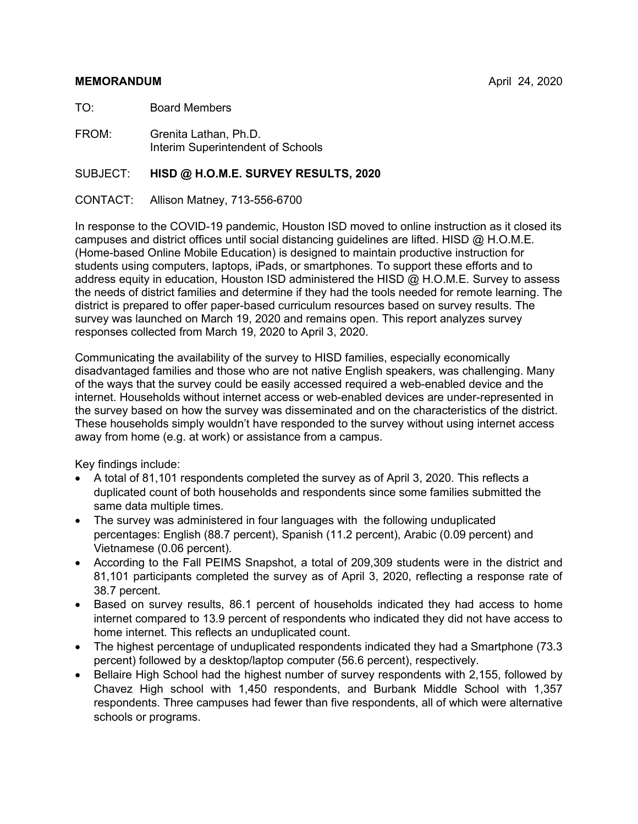#### **MEMORANDUM** April 24, 2020

TO: Board Members

FROM: Grenita Lathan, Ph.D. Interim Superintendent of Schools

#### SUBJECT: **HISD @ H.O.M.E. SURVEY RESULTS, 2020**

CONTACT: Allison Matney, 713-556-6700

In response to the COVID-19 pandemic, Houston ISD moved to online instruction as it closed its campuses and district offices until social distancing guidelines are lifted. HISD @ H.O.M.E. (Home-based Online Mobile Education) is designed to maintain productive instruction for students using computers, laptops, iPads, or smartphones. To support these efforts and to address equity in education, Houston ISD administered the HISD @ H.O.M.E. Survey to assess the needs of district families and determine if they had the tools needed for remote learning. The district is prepared to offer paper-based curriculum resources based on survey results. The survey was launched on March 19, 2020 and remains open. This report analyzes survey responses collected from March 19, 2020 to April 3, 2020.

Communicating the availability of the survey to HISD families, especially economically disadvantaged families and those who are not native English speakers, was challenging. Many of the ways that the survey could be easily accessed required a web-enabled device and the internet. Households without internet access or web-enabled devices are under-represented in the survey based on how the survey was disseminated and on the characteristics of the district. These households simply wouldn't have responded to the survey without using internet access away from home (e.g. at work) or assistance from a campus.

Key findings include:

- A total of 81,101 respondents completed the survey as of April 3, 2020. This reflects a duplicated count of both households and respondents since some families submitted the same data multiple times.
- The survey was administered in four languages with the following unduplicated percentages: English (88.7 percent), Spanish (11.2 percent), Arabic (0.09 percent) and Vietnamese (0.06 percent).
- According to the Fall PEIMS Snapshot, a total of 209,309 students were in the district and 81,101 participants completed the survey as of April 3, 2020, reflecting a response rate of 38.7 percent.
- Based on survey results, 86.1 percent of households indicated they had access to home internet compared to 13.9 percent of respondents who indicated they did not have access to home internet. This reflects an unduplicated count.
- The highest percentage of unduplicated respondents indicated they had a Smartphone (73.3) percent) followed by a desktop/laptop computer (56.6 percent), respectively.
- Bellaire High School had the highest number of survey respondents with 2,155, followed by Chavez High school with 1,450 respondents, and Burbank Middle School with 1,357 respondents. Three campuses had fewer than five respondents, all of which were alternative schools or programs.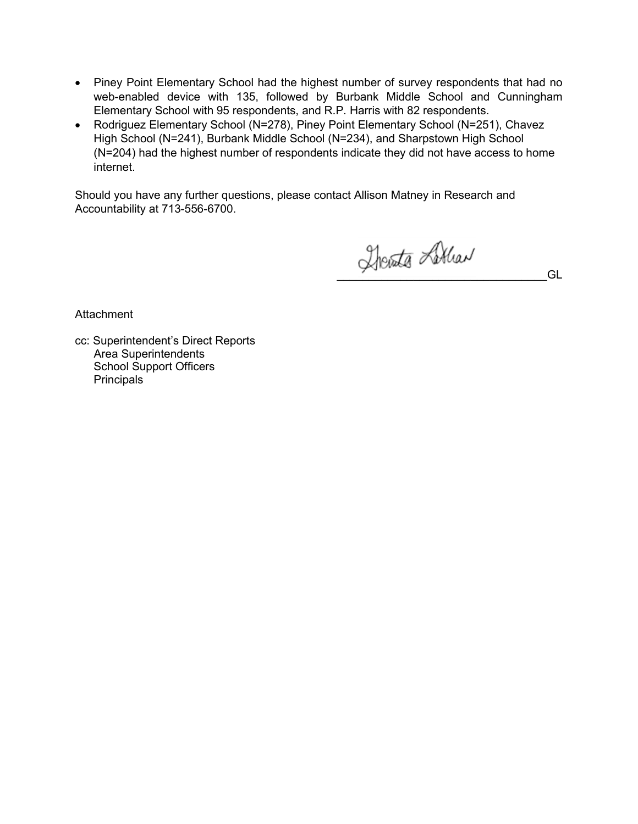- Piney Point Elementary School had the highest number of survey respondents that had no web-enabled device with 135, followed by Burbank Middle School and Cunningham Elementary School with 95 respondents, and R.P. Harris with 82 respondents.
- Rodriguez Elementary School (N=278), Piney Point Elementary School (N=251), Chavez High School (N=241), Burbank Middle School (N=234), and Sharpstown High School (N=204) had the highest number of respondents indicate they did not have access to home internet.

Should you have any further questions, please contact Allison Matney in Research and Accountability at 713-556-6700.

\_\_\_\_\_\_\_\_\_\_\_\_\_\_\_\_\_\_\_\_\_\_\_\_\_\_\_\_\_\_\_\_\_GL

**Attachment** 

cc: Superintendent's Direct Reports Area Superintendents School Support Officers **Principals**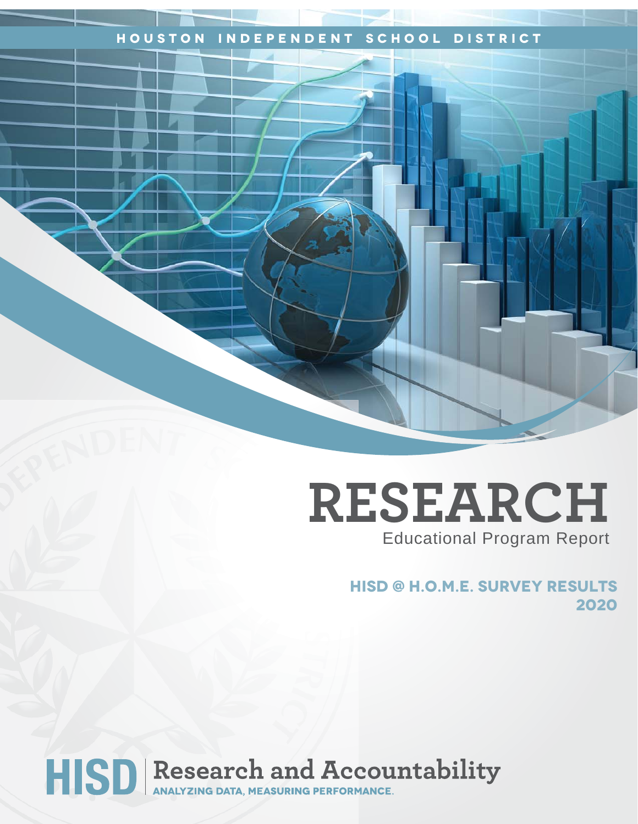## **Houston Independent School District**

# **RESEARCH** Educational Program Report

**hisd @ H.O.M.E. Survey Results 2020**

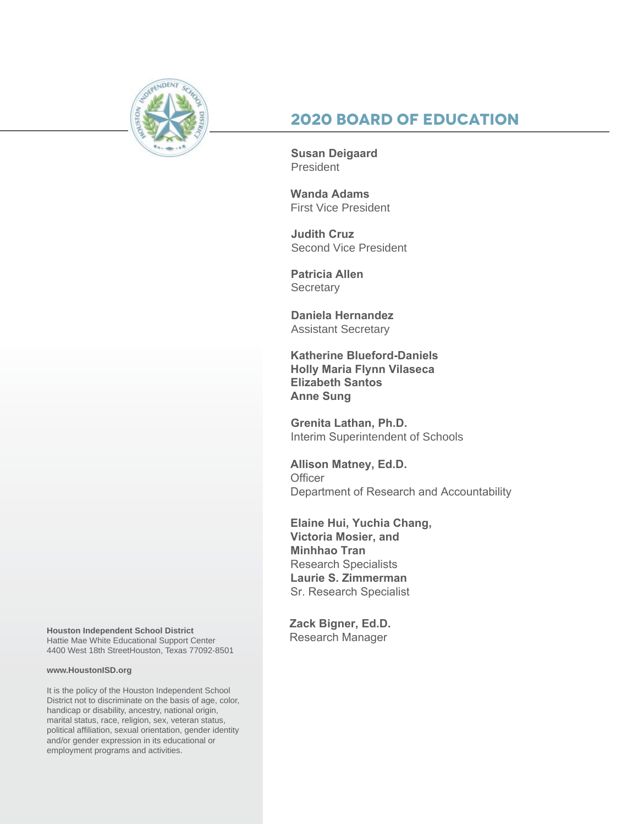

## **2020 Board of Education**

**Susan Deigaard** President

**Wanda Adams** First Vice President

**Judith Cruz**  Second Vice President

**Patricia Allen Secretary** 

**Daniela Hernandez** Assistant Secretary

**Katherine Blueford-Daniels Holly Maria Flynn Vilaseca Elizabeth Santos Anne Sung**

**Grenita Lathan, Ph.D.**  Interim Superintendent of Schools

**Allison Matney, Ed.D. Officer** Department of Research and Accountability

**Elaine Hui, Yuchia Chang, Victoria Mosier, and Minhhao Tran** Research Specialists **Laurie S. Zimmerman** Sr. Research Specialist

**Zack Bigner, Ed.D.** 

Houston Independent School District<br>Hattie Mae White Educational Support Center **Research Manager** 4400 West 18th StreetHouston, Texas 77092-8501

#### **www.HoustonISD.org**

It is the policy of the Houston Independent School District not to discriminate on the basis of age, color, handicap or disability, ancestry, national origin, marital status, race, religion, sex, veteran status, political affiliation, sexual orientation, gender identity and/or gender expression in its educational or employment programs and activities.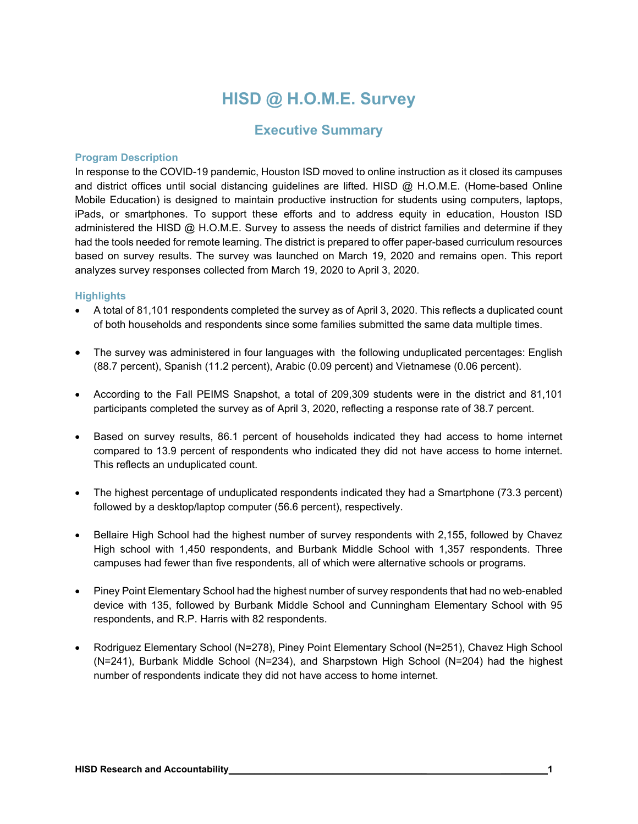# **HISD @ H.O.M.E. Survey**

## **Executive Summary**

#### **Program Description**

In response to the COVID-19 pandemic, Houston ISD moved to online instruction as it closed its campuses and district offices until social distancing guidelines are lifted. HISD @ H.O.M.E. (Home-based Online Mobile Education) is designed to maintain productive instruction for students using computers, laptops, iPads, or smartphones. To support these efforts and to address equity in education, Houston ISD administered the HISD @ H.O.M.E. Survey to assess the needs of district families and determine if they had the tools needed for remote learning. The district is prepared to offer paper-based curriculum resources based on survey results. The survey was launched on March 19, 2020 and remains open. This report analyzes survey responses collected from March 19, 2020 to April 3, 2020.

#### **Highlights**

- A total of 81,101 respondents completed the survey as of April 3, 2020. This reflects a duplicated count of both households and respondents since some families submitted the same data multiple times.
- The survey was administered in four languages with the following unduplicated percentages: English (88.7 percent), Spanish (11.2 percent), Arabic (0.09 percent) and Vietnamese (0.06 percent).
- According to the Fall PEIMS Snapshot, a total of 209,309 students were in the district and 81,101 participants completed the survey as of April 3, 2020, reflecting a response rate of 38.7 percent.
- Based on survey results, 86.1 percent of households indicated they had access to home internet compared to 13.9 percent of respondents who indicated they did not have access to home internet. This reflects an unduplicated count.
- The highest percentage of unduplicated respondents indicated they had a Smartphone (73.3 percent) followed by a desktop/laptop computer (56.6 percent), respectively.
- Bellaire High School had the highest number of survey respondents with 2,155, followed by Chavez High school with 1,450 respondents, and Burbank Middle School with 1,357 respondents. Three campuses had fewer than five respondents, all of which were alternative schools or programs.
- Piney Point Elementary School had the highest number of survey respondents that had no web-enabled device with 135, followed by Burbank Middle School and Cunningham Elementary School with 95 respondents, and R.P. Harris with 82 respondents.
- Rodriguez Elementary School (N=278), Piney Point Elementary School (N=251), Chavez High School (N=241), Burbank Middle School (N=234), and Sharpstown High School (N=204) had the highest number of respondents indicate they did not have access to home internet.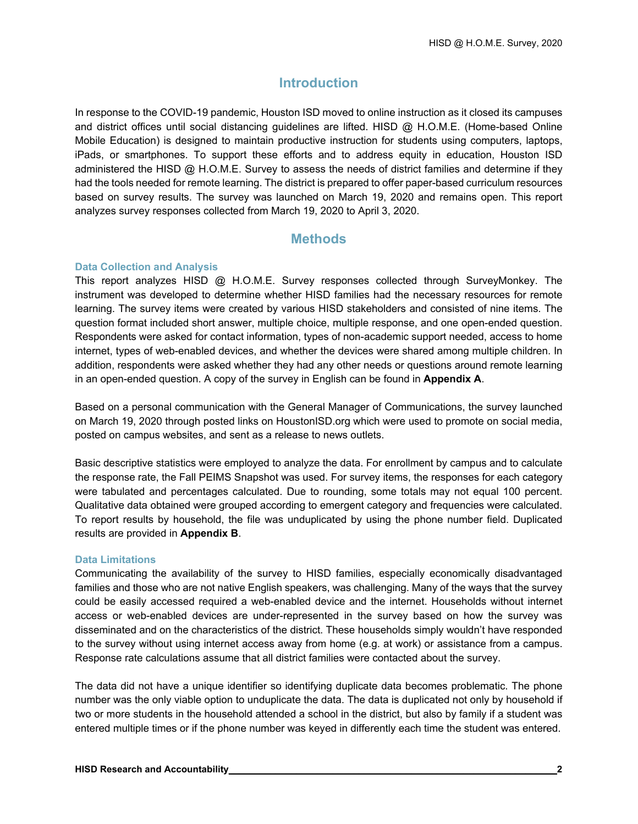## **Introduction**

In response to the COVID-19 pandemic, Houston ISD moved to online instruction as it closed its campuses and district offices until social distancing guidelines are lifted. HISD @ H.O.M.E. (Home-based Online Mobile Education) is designed to maintain productive instruction for students using computers, laptops, iPads, or smartphones. To support these efforts and to address equity in education, Houston ISD administered the HISD @ H.O.M.E. Survey to assess the needs of district families and determine if they had the tools needed for remote learning. The district is prepared to offer paper-based curriculum resources based on survey results. The survey was launched on March 19, 2020 and remains open. This report analyzes survey responses collected from March 19, 2020 to April 3, 2020.

## **Methods**

#### **Data Collection and Analysis**

This report analyzes HISD @ H.O.M.E. Survey responses collected through SurveyMonkey. The instrument was developed to determine whether HISD families had the necessary resources for remote learning. The survey items were created by various HISD stakeholders and consisted of nine items. The question format included short answer, multiple choice, multiple response, and one open-ended question. Respondents were asked for contact information, types of non-academic support needed, access to home internet, types of web-enabled devices, and whether the devices were shared among multiple children. In addition, respondents were asked whether they had any other needs or questions around remote learning in an open-ended question. A copy of the survey in English can be found in **Appendix A**.

Based on a personal communication with the General Manager of Communications, the survey launched on March 19, 2020 through posted links on HoustonISD.org which were used to promote on social media, posted on campus websites, and sent as a release to news outlets.

Basic descriptive statistics were employed to analyze the data. For enrollment by campus and to calculate the response rate, the Fall PEIMS Snapshot was used. For survey items, the responses for each category were tabulated and percentages calculated. Due to rounding, some totals may not equal 100 percent. Qualitative data obtained were grouped according to emergent category and frequencies were calculated. To report results by household, the file was unduplicated by using the phone number field. Duplicated results are provided in **Appendix B**.

#### **Data Limitations**

Communicating the availability of the survey to HISD families, especially economically disadvantaged families and those who are not native English speakers, was challenging. Many of the ways that the survey could be easily accessed required a web-enabled device and the internet. Households without internet access or web-enabled devices are under-represented in the survey based on how the survey was disseminated and on the characteristics of the district. These households simply wouldn't have responded to the survey without using internet access away from home (e.g. at work) or assistance from a campus. Response rate calculations assume that all district families were contacted about the survey.

The data did not have a unique identifier so identifying duplicate data becomes problematic. The phone number was the only viable option to unduplicate the data. The data is duplicated not only by household if two or more students in the household attended a school in the district, but also by family if a student was entered multiple times or if the phone number was keyed in differently each time the student was entered.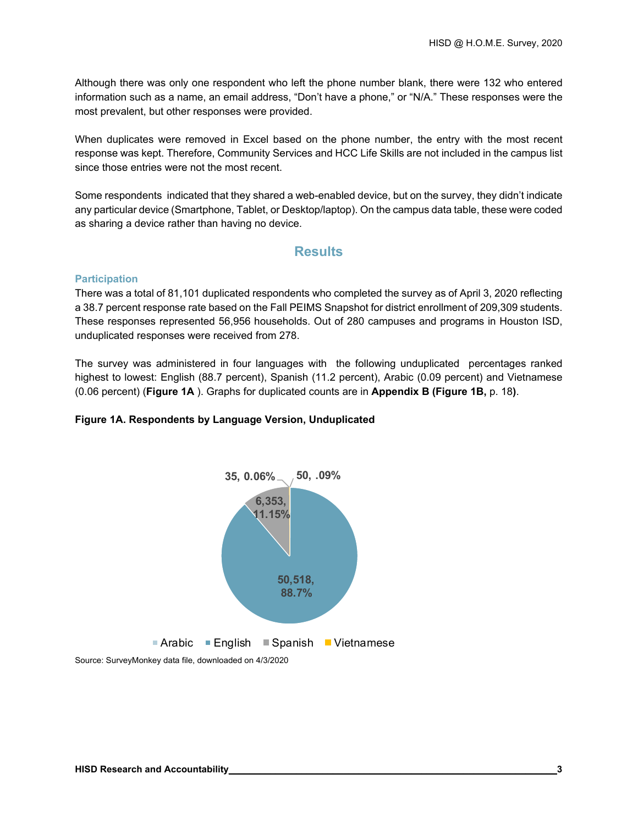Although there was only one respondent who left the phone number blank, there were 132 who entered information such as a name, an email address, "Don't have a phone," or "N/A." These responses were the most prevalent, but other responses were provided.

When duplicates were removed in Excel based on the phone number, the entry with the most recent response was kept. Therefore, Community Services and HCC Life Skills are not included in the campus list since those entries were not the most recent.

Some respondents indicated that they shared a web-enabled device, but on the survey, they didn't indicate any particular device (Smartphone, Tablet, or Desktop/laptop). On the campus data table, these were coded as sharing a device rather than having no device.

#### **Results**

#### **Participation**

There was a total of 81,101 duplicated respondents who completed the survey as of April 3, 2020 reflecting a 38.7 percent response rate based on the Fall PEIMS Snapshot for district enrollment of 209,309 students. These responses represented 56,956 households. Out of 280 campuses and programs in Houston ISD, unduplicated responses were received from 278.

The survey was administered in four languages with the following unduplicated percentages ranked highest to lowest: English (88.7 percent), Spanish (11.2 percent), Arabic (0.09 percent) and Vietnamese (0.06 percent) (**Figure 1A** ). Graphs for duplicated counts are in **Appendix B (Figure 1B,** p. 18**)**.

#### **Figure 1A. Respondents by Language Version, Unduplicated**

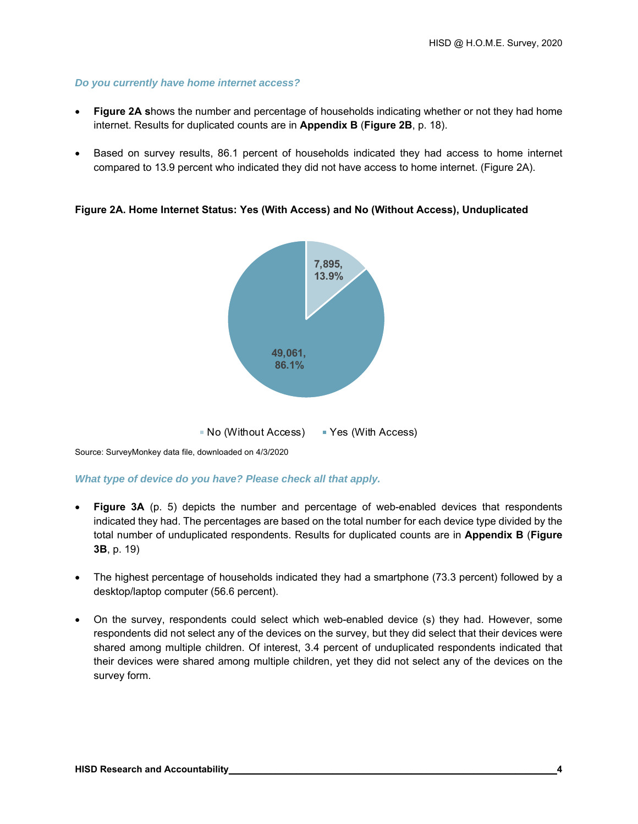#### *Do you currently have home internet access?*

- **Figure 2A s**hows the number and percentage of households indicating whether or not they had home internet. Results for duplicated counts are in **Appendix B** (**Figure 2B**, p. 18).
- Based on survey results, 86.1 percent of households indicated they had access to home internet compared to 13.9 percent who indicated they did not have access to home internet. (Figure 2A).

**Figure 2A. Home Internet Status: Yes (With Access) and No (Without Access), Unduplicated** 



Source: SurveyMonkey data file, downloaded on 4/3/2020

*What type of device do you have? Please check all that apply.* 

- **Figure 3A** (p. 5) depicts the number and percentage of web-enabled devices that respondents indicated they had. The percentages are based on the total number for each device type divided by the total number of unduplicated respondents. Results for duplicated counts are in **Appendix B** (**Figure 3B**, p. 19)
- The highest percentage of households indicated they had a smartphone (73.3 percent) followed by a desktop/laptop computer (56.6 percent).
- On the survey, respondents could select which web-enabled device (s) they had. However, some respondents did not select any of the devices on the survey, but they did select that their devices were shared among multiple children. Of interest, 3.4 percent of unduplicated respondents indicated that their devices were shared among multiple children, yet they did not select any of the devices on the survey form.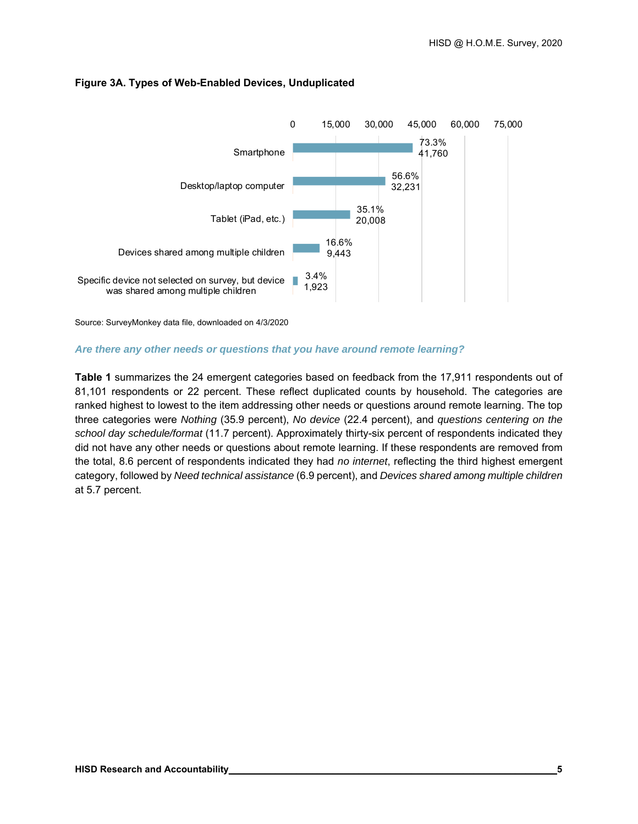

#### **Figure 3A. Types of Web-Enabled Devices, Unduplicated**

Source: SurveyMonkey data file, downloaded on 4/3/2020

#### *Are there any other needs or questions that you have around remote learning?*

**Table 1** summarizes the 24 emergent categories based on feedback from the 17,911 respondents out of 81,101 respondents or 22 percent. These reflect duplicated counts by household. The categories are ranked highest to lowest to the item addressing other needs or questions around remote learning. The top three categories were *Nothing* (35.9 percent), *No device* (22.4 percent), and *questions centering on the school day schedule/format* (11.7 percent). Approximately thirty-six percent of respondents indicated they did not have any other needs or questions about remote learning. If these respondents are removed from the total, 8.6 percent of respondents indicated they had *no internet*, reflecting the third highest emergent category, followed by *Need technical assistance* (6.9 percent), and *Devices shared among multiple children* at 5.7 percent.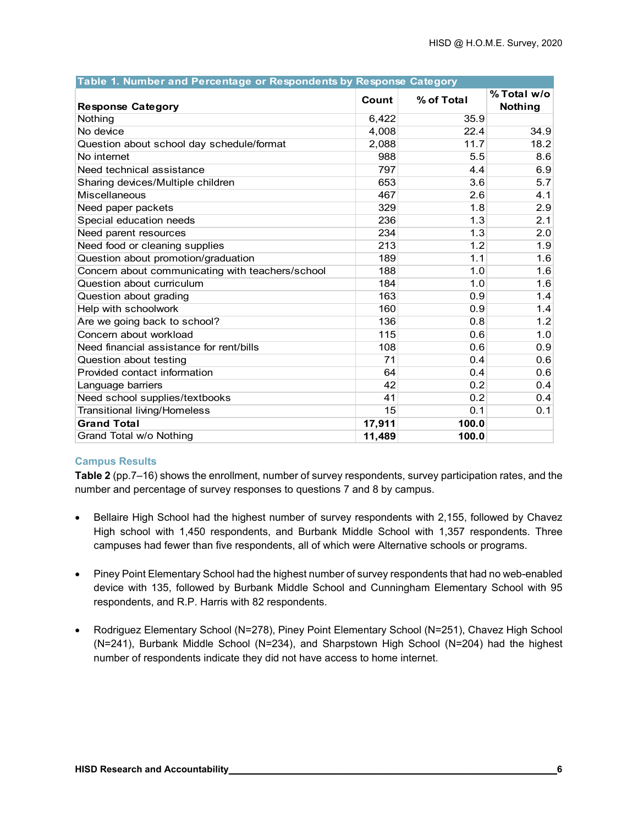| Table 1. Number and Percentage or Respondents by Response Category |        |            |                        |
|--------------------------------------------------------------------|--------|------------|------------------------|
| <b>Response Category</b>                                           | Count  | % of Total | % Total w/o<br>Nothing |
| Nothing                                                            | 6,422  | 35.9       |                        |
| No device                                                          | 4.008  | 22.4       | 34.9                   |
| Question about school day schedule/format                          | 2,088  | 11.7       | 18.2                   |
| No internet                                                        | 988    | 5.5        | 8.6                    |
| Need technical assistance                                          | 797    | 4.4        | 6.9                    |
| Sharing devices/Multiple children                                  | 653    | 3.6        | 5.7                    |
| Miscellaneous                                                      | 467    | 2.6        | 4.1                    |
| Need paper packets                                                 | 329    | 1.8        | 2.9                    |
| Special education needs                                            | 236    | 1.3        | 2.1                    |
| Need parent resources                                              | 234    | 1.3        | 2.0                    |
| Need food or cleaning supplies                                     | 213    | 1.2        | 1.9                    |
| Question about promotion/graduation                                | 189    | 1.1        | 1.6                    |
| Concern about communicating with teachers/school                   | 188    | 1.0        | 1.6                    |
| Question about curriculum                                          | 184    | 1.0        | 1.6                    |
| Question about grading                                             | 163    | 0.9        | 1.4                    |
| Help with schoolwork                                               | 160    | 0.9        | 1.4                    |
| Are we going back to school?                                       | 136    | 0.8        | 1.2                    |
| Concern about workload                                             | 115    | 0.6        | 1.0                    |
| Need financial assistance for rent/bills                           | 108    | 0.6        | 0.9                    |
| Question about testing                                             | 71     | 0.4        | 0.6                    |
| Provided contact information                                       | 64     | 0.4        | 0.6                    |
| Language barriers                                                  | 42     | 0.2        | 0.4                    |
| Need school supplies/textbooks                                     | 41     | 0.2        | 0.4                    |
| <b>Transitional living/Homeless</b>                                | 15     | 0.1        | 0.1                    |
| <b>Grand Total</b>                                                 | 17,911 | 100.0      |                        |
| Grand Total w/o Nothing                                            | 11,489 | 100.0      |                        |

#### **Campus Results**

**Table 2** (pp.7–16) shows the enrollment, number of survey respondents, survey participation rates, and the number and percentage of survey responses to questions 7 and 8 by campus.

- Bellaire High School had the highest number of survey respondents with 2,155, followed by Chavez High school with 1,450 respondents, and Burbank Middle School with 1,357 respondents. Three campuses had fewer than five respondents, all of which were Alternative schools or programs.
- Piney Point Elementary School had the highest number of survey respondents that had no web-enabled device with 135, followed by Burbank Middle School and Cunningham Elementary School with 95 respondents, and R.P. Harris with 82 respondents.
- Rodriguez Elementary School (N=278), Piney Point Elementary School (N=251), Chavez High School (N=241), Burbank Middle School (N=234), and Sharpstown High School (N=204) had the highest number of respondents indicate they did not have access to home internet.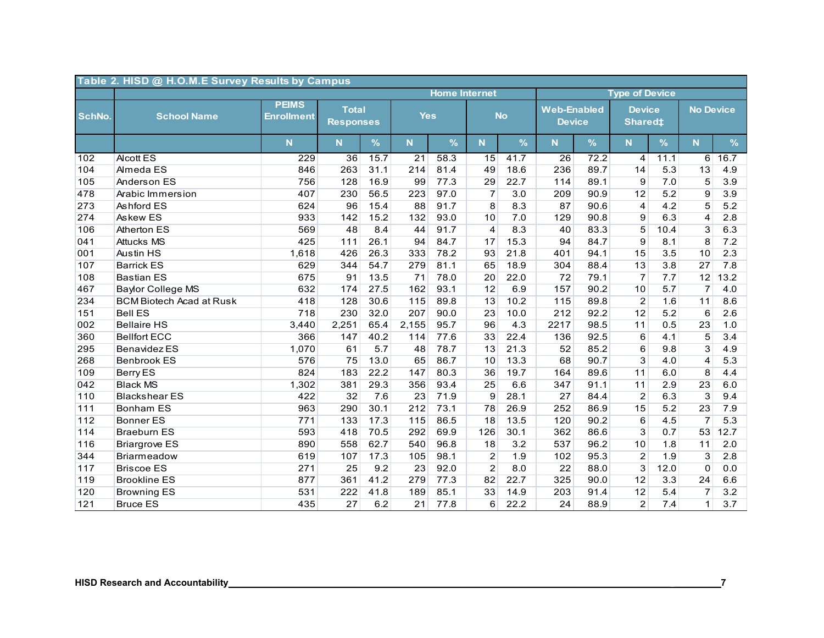| Table 2. HISD @ H.O.M.E Survey Results by Campus |                                 |                                   |                                  |      |                 |                      |                |               |                                     |      |                                      |      |                  |      |
|--------------------------------------------------|---------------------------------|-----------------------------------|----------------------------------|------|-----------------|----------------------|----------------|---------------|-------------------------------------|------|--------------------------------------|------|------------------|------|
|                                                  |                                 |                                   |                                  |      |                 | <b>Home Internet</b> |                |               |                                     |      | <b>Type of Device</b>                |      |                  |      |
| SchNo.                                           | <b>School Name</b>              | <b>PEIMS</b><br><b>Enrollment</b> | <b>Total</b><br><b>Responses</b> |      | <b>Yes</b>      |                      |                | <b>No</b>     | <b>Web-Enabled</b><br><b>Device</b> |      | <b>Device</b><br>Shared <sup>±</sup> |      | <b>No Device</b> |      |
|                                                  |                                 | $\overline{\mathsf{N}}$           | N                                | $\%$ | N.              | %                    | N              | $\frac{9}{6}$ | N                                   | $\%$ | $\overline{\mathsf{N}}$              | $\%$ | N                | $\%$ |
| 102                                              | <b>Alcott ES</b>                | 229                               | 36                               | 15.7 | $\overline{21}$ | 58.3                 | 15             | 41.7          | $\overline{26}$                     | 72.2 | 4                                    | 11.1 | $6 \mid$         | 16.7 |
| 104                                              | Almeda ES                       | 846                               | 263                              | 31.1 | 214             | 81.4                 | 49             | 18.6          | 236                                 | 89.7 | 14                                   | 5.3  | 13               | 4.9  |
| 105                                              | Anderson ES                     | 756                               | 128                              | 16.9 | 99              | 77.3                 | 29             | 22.7          | 114                                 | 89.1 | 9                                    | 7.0  | 5                | 3.9  |
| 478                                              | Arabic Immersion                | 407                               | 230                              | 56.5 | 223             | 97.0                 | $\overline{7}$ | 3.0           | 209                                 | 90.9 | 12                                   | 5.2  | 9                | 3.9  |
| 273                                              | Ashford ES                      | 624                               | 96                               | 15.4 | 88              | 91.7                 | 8              | 8.3           | 87                                  | 90.6 | $\overline{4}$                       | 4.2  | 5                | 5.2  |
| 274                                              | Askew ES                        | 933                               | 142                              | 15.2 | 132             | 93.0                 | 10             | 7.0           | 129                                 | 90.8 | 9                                    | 6.3  | 4                | 2.8  |
| 106                                              | <b>Atherton ES</b>              | 569                               | 48                               | 8.4  | 44              | 91.7                 | $\overline{4}$ | 8.3           | 40                                  | 83.3 | 5                                    | 10.4 | 3                | 6.3  |
| 041                                              | <b>Attucks MS</b>               | 425                               | 111                              | 26.1 | 94              | 84.7                 | 17             | 15.3          | 94                                  | 84.7 | 9                                    | 8.1  | 8                | 7.2  |
| 001                                              | <b>Austin HS</b>                | 1,618                             | 426                              | 26.3 | 333             | 78.2                 | 93             | 21.8          | 401                                 | 94.1 | 15                                   | 3.5  | 10               | 2.3  |
| 107                                              | <b>Barrick ES</b>               | 629                               | 344                              | 54.7 | 279             | 81.1                 | 65             | 18.9          | 304                                 | 88.4 | 13                                   | 3.8  | 27               | 7.8  |
| 108                                              | <b>Bastian ES</b>               | 675                               | 91                               | 13.5 | 71              | 78.0                 | 20             | 22.0          | 72                                  | 79.1 | $\overline{7}$                       | 7.7  | 12               | 13.2 |
| 467                                              | <b>Baylor College MS</b>        | 632                               | 174                              | 27.5 | 162             | 93.1                 | 12             | 6.9           | 157                                 | 90.2 | 10                                   | 5.7  | $\overline{7}$   | 4.0  |
| 234                                              | <b>BCM Biotech Acad at Rusk</b> | 418                               | 128                              | 30.6 | 115             | 89.8                 | 13             | 10.2          | 115                                 | 89.8 | 2                                    | 1.6  | 11               | 8.6  |
| 151                                              | <b>Bell ES</b>                  | 718                               | 230                              | 32.0 | 207             | 90.0                 | 23             | 10.0          | 212                                 | 92.2 | 12                                   | 5.2  | 6                | 2.6  |
| 002                                              | <b>Bellaire HS</b>              | 3,440                             | 2,251                            | 65.4 | 2,155           | 95.7                 | 96             | 4.3           | 2217                                | 98.5 | 11                                   | 0.5  | 23               | 1.0  |
| 360                                              | <b>Bellfort ECC</b>             | 366                               | 147                              | 40.2 | 114             | 77.6                 | 33             | 22.4          | 136                                 | 92.5 | 6                                    | 4.1  | $\overline{5}$   | 3.4  |
| 295                                              | <b>Benavidez ES</b>             | 1,070                             | 61                               | 5.7  | 48              | 78.7                 | 13             | 21.3          | 52                                  | 85.2 | 6                                    | 9.8  | $\overline{3}$   | 4.9  |
| 268                                              | <b>Benbrook ES</b>              | 576                               | 75                               | 13.0 | 65              | 86.7                 | 10             | 13.3          | 68                                  | 90.7 | 3                                    | 4.0  | 4                | 5.3  |
| 109                                              | <b>Berry ES</b>                 | 824                               | 183                              | 22.2 | 147             | 80.3                 | 36             | 19.7          | 164                                 | 89.6 | 11                                   | 6.0  | 8                | 4.4  |
| 042                                              | <b>Black MS</b>                 | 1,302                             | 381                              | 29.3 | 356             | 93.4                 | 25             | 6.6           | 347                                 | 91.1 | 11                                   | 2.9  | 23               | 6.0  |
| 110                                              | <b>Blackshear ES</b>            | 422                               | 32                               | 7.6  | 23              | 71.9                 | 9              | 28.1          | 27                                  | 84.4 | $\overline{2}$                       | 6.3  | $\overline{3}$   | 9.4  |
| $111$                                            | <b>Bonham ES</b>                | 963                               | 290                              | 30.1 | 212             | 73.1                 | 78             | 26.9          | 252                                 | 86.9 | 15                                   | 5.2  | 23               | 7.9  |
| 112                                              | <b>Bonner ES</b>                | 771                               | 133                              | 17.3 | 115             | 86.5                 | 18             | 13.5          | 120                                 | 90.2 | 6                                    | 4.5  | $\overline{7}$   | 5.3  |
| 114                                              | <b>Braeburn ES</b>              | 593                               | 418                              | 70.5 | 292             | 69.9                 | 126            | 30.1          | 362                                 | 86.6 | 3                                    | 0.7  | 53               | 12.7 |
| 116                                              | <b>Briargrove ES</b>            | 890                               | 558                              | 62.7 | 540             | 96.8                 | 18             | 3.2           | 537                                 | 96.2 | 10                                   | 1.8  | 11               | 2.0  |
| 344                                              | Briarmeadow                     | 619                               | 107                              | 17.3 | 105             | 98.1                 | $\overline{c}$ | 1.9           | 102                                 | 95.3 | $\overline{2}$                       | 1.9  | 3                | 2.8  |
| 117                                              | <b>Briscoe ES</b>               | 271                               | 25                               | 9.2  | 23              | 92.0                 | $\overline{2}$ | 8.0           | 22                                  | 88.0 | $\overline{3}$                       | 12.0 | $\mathbf 0$      | 0.0  |
| 119                                              | <b>Brookline ES</b>             | 877                               | 361                              | 41.2 | 279             | 77.3                 | 82             | 22.7          | 325                                 | 90.0 | 12                                   | 3.3  | 24               | 6.6  |
| 120                                              | <b>Browning ES</b>              | 531                               | 222                              | 41.8 | 189             | 85.1                 | 33             | 14.9          | 203                                 | 91.4 | 12                                   | 5.4  | 7                | 3.2  |
| 121                                              | <b>Bruce ES</b>                 | 435                               | 27                               | 6.2  | 21              | 77.8                 | 6              | 22.2          | 24                                  | 88.9 | 2                                    | 7.4  | $\mathbf{1}$     | 3.7  |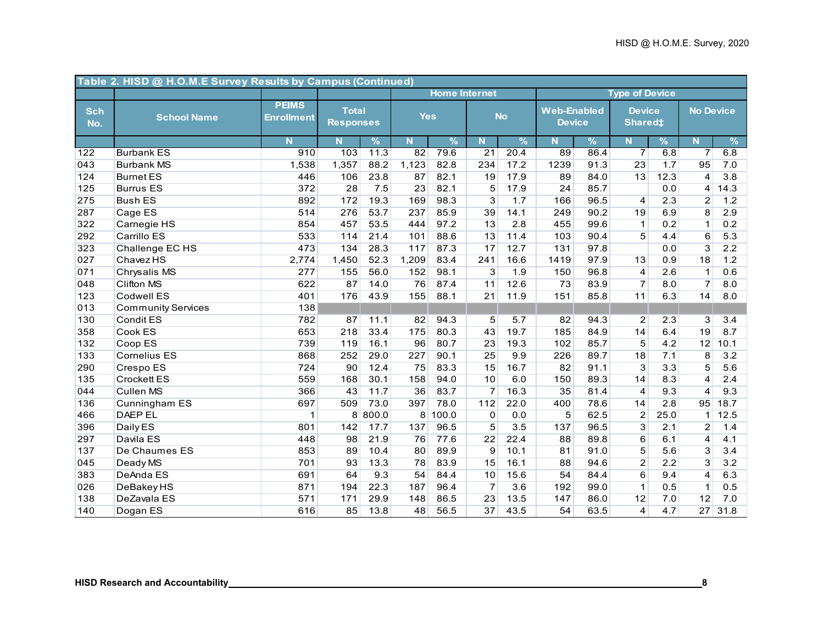|                   | Table 2. HISD @ H.O.M.E Survey Results by Campus (Continued) |                                   |                                  |               |            |                      |                |               |                                     |               |                                      |      |                  |               |
|-------------------|--------------------------------------------------------------|-----------------------------------|----------------------------------|---------------|------------|----------------------|----------------|---------------|-------------------------------------|---------------|--------------------------------------|------|------------------|---------------|
|                   |                                                              |                                   |                                  |               |            | <b>Home Internet</b> |                |               |                                     |               | <b>Type of Device</b>                |      |                  |               |
| <b>Sch</b><br>No. | <b>School Name</b>                                           | <b>PEIMS</b><br><b>Enrollment</b> | <b>Total</b><br><b>Responses</b> |               | <b>Yes</b> |                      |                | <b>No</b>     | <b>Web-Enabled</b><br><b>Device</b> |               | <b>Device</b><br>Shared <sup>‡</sup> |      | <b>No Device</b> |               |
|                   |                                                              | N.                                | N                                | $\frac{9}{6}$ | N.         | $\frac{9}{6}$        | N.             | $\frac{9}{6}$ | N                                   | $\frac{9}{6}$ | <b>N</b>                             | %    | N.               | $\frac{9}{6}$ |
| 122               | <b>Burbank ES</b>                                            | 910                               | 103                              | 11.3          | 82         | 79.6                 | 21             | 20.4          | 89                                  | 86.4          | $\overline{7}$                       | 6.8  | 7                | 6.8           |
| 043               | <b>Burbank MS</b>                                            | 1,538                             | 1,357                            | 88.2          | 1,123      | 82.8                 | 234            | 17.2          | 1239                                | 91.3          | 23                                   | 1.7  | 95               | 7.0           |
| 124               | <b>Burnet ES</b>                                             | 446                               | 106                              | 23.8          | 87         | 82.1                 | 19             | 17.9          | 89                                  | 84.0          | 13                                   | 12.3 | $\overline{4}$   | 3.8           |
| 125               | <b>Burrus ES</b>                                             | 372                               | 28                               | 7.5           | 23         | 82.1                 | 5              | 17.9          | 24                                  | 85.7          |                                      | 0.0  | $\overline{4}$   | 14.3          |
| 275               | <b>Bush ES</b>                                               | 892                               | 172                              | 19.3          | 169        | 98.3                 | 3              | 1.7           | 166                                 | 96.5          | 4                                    | 2.3  | $\overline{2}$   | 1.2           |
| 287               | Cage ES                                                      | 514                               | 276                              | 53.7          | 237        | 85.9                 | 39             | 14.1          | 249                                 | 90.2          | 19                                   | 6.9  | 8                | 2.9           |
| 322               | Carnegie HS                                                  | 854                               | 457                              | 53.5          | 444        | 97.2                 | 13             | 2.8           | 455                                 | 99.6          | $\mathbf{1}$                         | 0.2  | $\mathbf 1$      | 0.2           |
| 292               | Carrillo ES                                                  | 533                               | 114                              | 21.4          | 101        | 88.6                 | 13             | 11.4          | 103                                 | 90.4          | 5                                    | 4.4  | 6                | 5.3           |
| 323               | Challenge EC HS                                              | 473                               | 134                              | 28.3          | 117        | 87.3                 | 17             | 12.7          | 131                                 | 97.8          |                                      | 0.0  | 3                | 2.2           |
| 027               | <b>Chavez HS</b>                                             | 2,774                             | 1,450                            | 52.3          | 1,209      | 83.4                 | 241            | 16.6          | 1419                                | 97.9          | 13                                   | 0.9  | 18               | 1.2           |
| 071               | Chrysalis MS                                                 | 277                               | 155                              | 56.0          | 152        | 98.1                 | 3              | 1.9           | 150                                 | 96.8          | $\overline{4}$                       | 2.6  | $\mathbf{1}$     | 0.6           |
| 048               | <b>Clifton MS</b>                                            | 622                               | 87                               | 14.0          | 76         | 87.4                 | 11             | 12.6          | 73                                  | 83.9          | $\overline{7}$                       | 8.0  | $\overline{7}$   | 8.0           |
| 123               | <b>Codwell ES</b>                                            | 401                               | 176                              | 43.9          | 155        | 88.1                 | 21             | 11.9          | 151                                 | 85.8          | 11                                   | 6.3  | 14               | 8.0           |
| 013               | <b>Community Services</b>                                    | 138                               |                                  |               |            |                      |                |               |                                     |               |                                      |      |                  |               |
| 130               | Condit ES                                                    | 782                               | 87                               | 11.1          | 82         | 94.3                 | 5              | 5.7           | 82                                  | 94.3          | $\overline{c}$                       | 2.3  | 3                | 3.4           |
| 358               | Cook ES                                                      | 653                               | 218                              | 33.4          | 175        | 80.3                 | 43             | 19.7          | 185                                 | 84.9          | 14                                   | 6.4  | 19               | 8.7           |
| 132               | Coop ES                                                      | 739                               | 119                              | 16.1          | 96         | 80.7                 | 23             | 19.3          | 102                                 | 85.7          | $\overline{5}$                       | 4.2  | 12               | 10.1          |
| 133               | <b>Cornelius ES</b>                                          | 868                               | 252                              | 29.0          | 227        | 90.1                 | 25             | 9.9           | 226                                 | 89.7          | 18                                   | 7.1  | 8                | 3.2           |
| 290               | Crespo ES                                                    | 724                               | 90                               | 12.4          | 75         | 83.3                 | 15             | 16.7          | 82                                  | 91.1          | $\overline{3}$                       | 3.3  | 5                | 5.6           |
| 135               | <b>Crockett ES</b>                                           | 559                               | 168                              | 30.1          | 158        | 94.0                 | 10             | 6.0           | 150                                 | 89.3          | 14                                   | 8.3  | $\overline{4}$   | 2.4           |
| 044               | <b>Cullen MS</b>                                             | 366                               | 43                               | 11.7          | 36         | 83.7                 | $\overline{7}$ | 16.3          | 35                                  | 81.4          | 4                                    | 9.3  | 4                | 9.3           |
| 136               | Cunningham ES                                                | 697                               | 509                              | 73.0          | 397        | 78.0                 | 112            | 22.0          | 400                                 | 78.6          | 14                                   | 2.8  | 95               | 18.7          |
| 466               | <b>DAEP EL</b>                                               | 1                                 |                                  | 8 800.0       |            | 8 100.0              | $\mathbf 0$    | 0.0           | $\overline{5}$                      | 62.5          | $\overline{2}$                       | 25.0 | 1 <sup>1</sup>   | 12.5          |
| 396               | Daily ES                                                     | 801                               | 142                              | 17.7          | 137        | 96.5                 | $\overline{5}$ | 3.5           | 137                                 | 96.5          | $\overline{3}$                       | 2.1  | $\overline{2}$   | 1.4           |
| 297               | Davila ES                                                    | 448                               | 98                               | 21.9          | 76         | 77.6                 | 22             | 22.4          | 88                                  | 89.8          | $\overline{6}$                       | 6.1  | 4                | 4.1           |
| 137               | De Chaumes ES                                                | 853                               | 89                               | 10.4          | 80         | 89.9                 | 9              | 10.1          | 81                                  | 91.0          | $\overline{5}$                       | 5.6  | 3                | 3.4           |
| 045               | Deady MS                                                     | 701                               | 93                               | 13.3          | 78         | 83.9                 | 15             | 16.1          | 88                                  | 94.6          | $\overline{2}$                       | 2.2  | $\overline{3}$   | 3.2           |
| 383               | DeAnda ES                                                    | 691                               | 64                               | 9.3           | 54         | 84.4                 | 10             | 15.6          | 54                                  | 84.4          | 6                                    | 9.4  | $\overline{4}$   | 6.3           |
| 026               | <b>DeBakey HS</b>                                            | 871                               | 194                              | 22.3          | 187        | 96.4                 | $\overline{7}$ | 3.6           | 192                                 | 99.0          | $\mathbf{1}$                         | 0.5  | $\mathbf{1}$     | 0.5           |
| 138               | DeZavala ES                                                  | 571                               | 171                              | 29.9          | 148        | 86.5                 | 23             | 13.5          | 147                                 | 86.0          | 12                                   | 7.0  | 12               | 7.0           |
| 140               | Dogan ES                                                     | 616                               | 85                               | 13.8          | 48         | 56.5                 | 37             | 43.5          | 54                                  | 63.5          | 4                                    | 4.7  | 27               | 31.8          |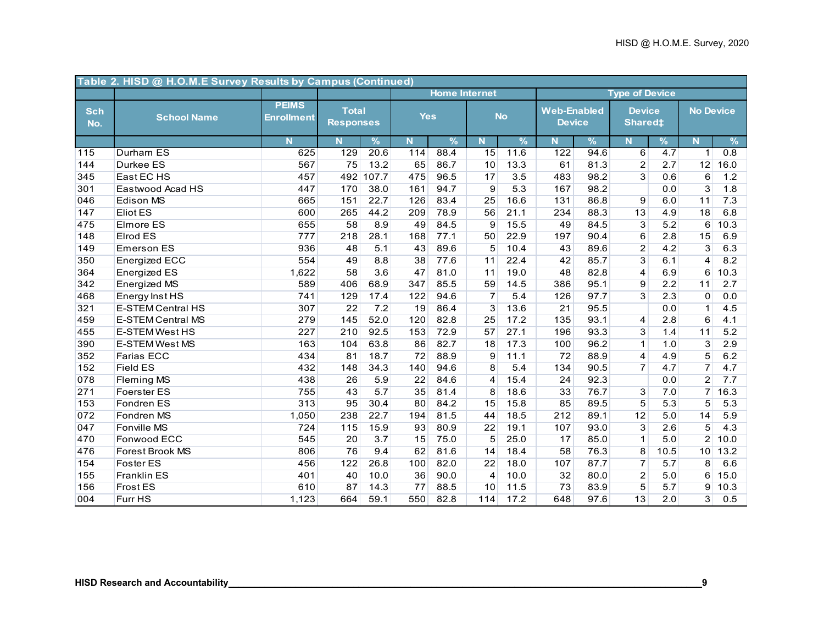|                   | Table 2. HISD @ H.O.M.E Survey Results by Campus (Continued) |                                   |                                  |               |            |                      |                |           |                                     |               |                                 |      |                         |      |
|-------------------|--------------------------------------------------------------|-----------------------------------|----------------------------------|---------------|------------|----------------------|----------------|-----------|-------------------------------------|---------------|---------------------------------|------|-------------------------|------|
|                   |                                                              |                                   |                                  |               |            | <b>Home Internet</b> |                |           |                                     |               | <b>Type of Device</b>           |      |                         |      |
| <b>Sch</b><br>No. | <b>School Name</b>                                           | <b>PEIMS</b><br><b>Enrollment</b> | <b>Total</b><br><b>Responses</b> |               | <b>Yes</b> |                      |                | <b>No</b> | <b>Web-Enabled</b><br><b>Device</b> |               | <b>Device</b><br><b>Shared#</b> |      | <b>No Device</b>        |      |
|                   |                                                              | N.                                | N <sub>1</sub>                   | $\frac{9}{6}$ | N.         | $\frac{9}{6}$        | N              | %         | N.                                  | $\frac{9}{6}$ | $\mathbf N$                     | $\%$ | $\overline{\mathsf{N}}$ | $\%$ |
| 115               | Durham ES                                                    | 625                               | 129                              | 20.6          | 114        | 88.4                 | 15             | 11.6      | 122                                 | 94.6          | 6                               | 4.7  | $\mathbf{1}$            | 0.8  |
| 144               | Durkee ES                                                    | 567                               | 75                               | 13.2          | 65         | 86.7                 | 10             | 13.3      | 61                                  | 81.3          | $\overline{2}$                  | 2.7  | 12                      | 16.0 |
| 345               | East EC HS                                                   | 457                               | 492                              | 107.7         | 475        | 96.5                 | 17             | 3.5       | 483                                 | 98.2          | $\overline{3}$                  | 0.6  | 6                       | 1.2  |
| 301               | Eastwood Acad HS                                             | 447                               | 170                              | 38.0          | 161        | 94.7                 | 9              | 5.3       | 167                                 | 98.2          |                                 | 0.0  | 3                       | 1.8  |
| 046               | <b>Edison MS</b>                                             | 665                               | 151                              | 22.7          | 126        | 83.4                 | 25             | 16.6      | 131                                 | 86.8          | 9                               | 6.0  | 11                      | 7.3  |
| 147               | <b>Eliot ES</b>                                              | 600                               | 265                              | 44.2          | 209        | 78.9                 | 56             | 21.1      | 234                                 | 88.3          | 13                              | 4.9  | 18                      | 6.8  |
| 475               | <b>Elmore ES</b>                                             | 655                               | 58                               | 8.9           | 49         | 84.5                 | 9              | 15.5      | 49                                  | 84.5          | $\overline{3}$                  | 5.2  | 6                       | 10.3 |
| 148               | <b>Elrod ES</b>                                              | 777                               | 218                              | 28.1          | 168        | 77.1                 | 50             | 22.9      | 197                                 | 90.4          | 6                               | 2.8  | 15                      | 6.9  |
| 149               | <b>Emerson ES</b>                                            | 936                               | 48                               | 5.1           | 43         | 89.6                 | 5              | 10.4      | 43                                  | 89.6          | $\overline{c}$                  | 4.2  | 3                       | 6.3  |
| 350               | Energized ECC                                                | 554                               | 49                               | 8.8           | 38         | 77.6                 | 11             | 22.4      | 42                                  | 85.7          | 3                               | 6.1  | 4                       | 8.2  |
| 364               | <b>Energized ES</b>                                          | 1,622                             | 58                               | 3.6           | 47         | 81.0                 | 11             | 19.0      | 48                                  | 82.8          | $\overline{4}$                  | 6.9  | 6                       | 10.3 |
| 342               | Energized MS                                                 | 589                               | 406                              | 68.9          | 347        | 85.5                 | 59             | 14.5      | 386                                 | 95.1          | 9                               | 2.2  | 11                      | 2.7  |
| 468               | Energy Inst HS                                               | 741                               | 129                              | 17.4          | 122        | 94.6                 | $\overline{7}$ | 5.4       | 126                                 | 97.7          | 3                               | 2.3  | $\Omega$                | 0.0  |
| 321               | <b>E-STEM Central HS</b>                                     | 307                               | 22                               | 7.2           | 19         | 86.4                 | 3              | 13.6      | 21                                  | 95.5          |                                 | 0.0  | $\mathbf{1}$            | 4.5  |
| 459               | <b>E-STEM Central MS</b>                                     | 279                               | 145                              | 52.0          | 120        | 82.8                 | 25             | 17.2      | 135                                 | 93.1          | 4                               | 2.8  | 6                       | 4.1  |
| 455               | <b>E-STEM West HS</b>                                        | 227                               | 210                              | 92.5          | 153        | 72.9                 | 57             | 27.1      | 196                                 | 93.3          | 3                               | 1.4  | 11                      | 5.2  |
| 390               | E-STEM West MS                                               | 163                               | 104                              | 63.8          | 86         | 82.7                 | 18             | 17.3      | 100                                 | 96.2          | $\mathbf{1}$                    | 1.0  | $\overline{3}$          | 2.9  |
| 352               | Farias ECC                                                   | 434                               | 81                               | 18.7          | 72         | 88.9                 | 9              | 11.1      | 72                                  | 88.9          | 4                               | 4.9  | $\overline{5}$          | 6.2  |
| 152               | <b>Field ES</b>                                              | 432                               | 148                              | 34.3          | 140        | 94.6                 | 8              | 5.4       | 134                                 | 90.5          | $\overline{7}$                  | 4.7  | $\overline{7}$          | 4.7  |
| 078               | <b>Fleming MS</b>                                            | 438                               | 26                               | 5.9           | 22         | 84.6                 | 4              | 15.4      | 24                                  | 92.3          |                                 | 0.0  | $\overline{2}$          | 7.7  |
| 271               | Foerster ES                                                  | 755                               | 43                               | 5.7           | 35         | 81.4                 | 8              | 18.6      | 33                                  | 76.7          | 3                               | 7.0  | $\overline{7}$          | 16.3 |
| 153               | Fondren ES                                                   | 313                               | 95                               | 30.4          | 80         | 84.2                 | 15             | 15.8      | 85                                  | 89.5          | 5                               | 5.3  | 5                       | 5.3  |
| 072               | Fondren MS                                                   | 1,050                             | 238                              | 22.7          | 194        | 81.5                 | 44             | 18.5      | 212                                 | 89.1          | 12                              | 5.0  | 14                      | 5.9  |
| 047               | <b>Fonville MS</b>                                           | 724                               | 115                              | 15.9          | 93         | 80.9                 | 22             | 19.1      | 107                                 | 93.0          | 3                               | 2.6  | 5                       | 4.3  |
| 470               | Fonwood ECC                                                  | 545                               | 20                               | 3.7           | 15         | 75.0                 | 5              | 25.0      | 17                                  | 85.0          | $\mathbf{1}$                    | 5.0  | $\overline{2}$          | 10.0 |
| 476               | Forest Brook MS                                              | 806                               | 76                               | 9.4           | 62         | 81.6                 | 14             | 18.4      | 58                                  | 76.3          | 8                               | 10.5 | 10 <sup>1</sup>         | 13.2 |
| 154               | Foster ES                                                    | 456                               | 122                              | 26.8          | 100        | 82.0                 | 22             | 18.0      | 107                                 | 87.7          | $\overline{7}$                  | 5.7  | 8                       | 6.6  |
| 155               | <b>Franklin ES</b>                                           | 401                               | 40                               | 10.0          | 36         | 90.0                 | 4              | 10.0      | 32                                  | 80.0          | $\overline{2}$                  | 5.0  | 6                       | 15.0 |
| 156               | Frost ES                                                     | 610                               | 87                               | 14.3          | 77         | 88.5                 | 10             | $11.5$    | 73                                  | 83.9          | 5                               | 5.7  | 9                       | 10.3 |
| 004               | Furr HS                                                      | 1,123                             | 664                              | 59.1          | 550        | 82.8                 | 114            | 17.2      | 648                                 | 97.6          | 13                              | 2.0  | 3 <sup>1</sup>          | 0.5  |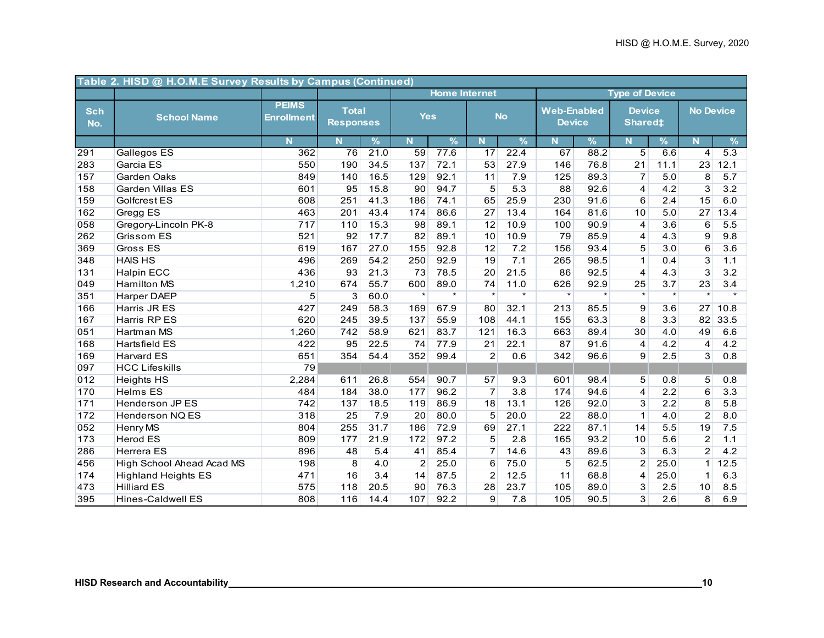|                   | Table 2. HISD @ H.O.M.E Survey Results by Campus (Continued) |                                   |                                  |               |                |                      |                |               |                                     |               |                                 |         |                  |                  |
|-------------------|--------------------------------------------------------------|-----------------------------------|----------------------------------|---------------|----------------|----------------------|----------------|---------------|-------------------------------------|---------------|---------------------------------|---------|------------------|------------------|
|                   |                                                              |                                   |                                  |               |                | <b>Home Internet</b> |                |               |                                     |               | <b>Type of Device</b>           |         |                  |                  |
| <b>Sch</b><br>No. | <b>School Name</b>                                           | <b>PEIMS</b><br><b>Enrollment</b> | <b>Total</b><br><b>Responses</b> |               | <b>Yes</b>     |                      |                | <b>No</b>     | <b>Web-Enabled</b><br><b>Device</b> |               | <b>Device</b><br><b>Shared#</b> |         | <b>No Device</b> |                  |
|                   |                                                              | N.                                | N <sub>1</sub>                   | $\frac{9}{6}$ | N.             | $\frac{9}{6}$        | N.             | $\frac{9}{6}$ | N.                                  | $\frac{9}{6}$ | $\mathbf N$                     | %       | N                | $\%$             |
| 291               | Gallegos ES                                                  | 362                               | $\overline{76}$                  | 21.0          | 59             | 77.6                 | 17             | 22.4          | 67                                  | 88.2          | $\overline{5}$                  | 6.6     | 4                | $\overline{5.3}$ |
| 283               | Garcia ES                                                    | 550                               | 190                              | 34.5          | 137            | 72.1                 | 53             | 27.9          | 146                                 | 76.8          | 21                              | 11.1    | 23               | 12.1             |
| 157               | Garden Oaks                                                  | 849                               | 140                              | 16.5          | 129            | 92.1                 | 11             | 7.9           | 125                                 | 89.3          | $\overline{7}$                  | 5.0     | 8                | 5.7              |
| 158               | Garden Villas ES                                             | 601                               | 95                               | 15.8          | 90             | 94.7                 | 5              | 5.3           | 88                                  | 92.6          | 4                               | 4.2     | $\overline{3}$   | 3.2              |
| 159               | Golfcrest ES                                                 | 608                               | 251                              | 41.3          | 186            | 74.1                 | 65             | 25.9          | 230                                 | 91.6          | 6                               | 2.4     | 15               | 6.0              |
| 162               | Gregg ES                                                     | 463                               | 201                              | 43.4          | 174            | 86.6                 | 27             | 13.4          | 164                                 | 81.6          | 10                              | 5.0     | 27               | 13.4             |
| 058               | Gregory-Lincoln PK-8                                         | 717                               | 110                              | 15.3          | 98             | 89.1                 | 12             | 10.9          | 100                                 | 90.9          | 4                               | 3.6     | 6                | 5.5              |
| 262               | Grissom ES                                                   | 521                               | 92                               | 17.7          | 82             | 89.1                 | 10             | 10.9          | 79                                  | 85.9          | $\overline{4}$                  | 4.3     | 9                | 9.8              |
| 369               | <b>Gross ES</b>                                              | 619                               | 167                              | 27.0          | 155            | 92.8                 | 12             | 7.2           | 156                                 | 93.4          | 5                               | 3.0     | 6                | 3.6              |
| 348               | <b>HAIS HS</b>                                               | 496                               | 269                              | 54.2          | 250            | 92.9                 | 19             | 7.1           | 265                                 | 98.5          | $\mathbf{1}$                    | 0.4     | $\overline{3}$   | 1.1              |
| 131               | <b>Halpin ECC</b>                                            | 436                               | 93                               | 21.3          | 73             | 78.5                 | 20             | 21.5          | 86                                  | 92.5          | 4                               | 4.3     | $\overline{3}$   | 3.2              |
| 049               | <b>Hamilton MS</b>                                           | 1,210                             | 674                              | 55.7          | 600            | 89.0                 | 74             | 11.0          | 626                                 | 92.9          | 25                              | 3.7     | 23               | 3.4              |
| 351               | <b>Harper DAEP</b>                                           | $\overline{5}$                    | $\overline{3}$                   | 60.0          | $\star$        | $\star$              | $\star$        | $\star$       | $\star$                             | $\star$       | $\star$                         | $\star$ | $\star$          | $\star$          |
| 166               | Harris JR ES                                                 | 427                               | 249                              | 58.3          | 169            | 67.9                 | 80             | 32.1          | 213                                 | 85.5          | 9                               | 3.6     | 27               | 10.8             |
| 167               | Harris RP ES                                                 | 620                               | 245                              | 39.5          | 137            | 55.9                 | 108            | 44.1          | 155                                 | 63.3          | 8                               | 3.3     | 82               | 33.5             |
| 051               | Hartman MS                                                   | 1,260                             | 742                              | 58.9          | 621            | 83.7                 | 121            | 16.3          | 663                                 | 89.4          | 30                              | 4.0     | 49               | 6.6              |
| 168               | <b>Hartsfield ES</b>                                         | 422                               | 95                               | 22.5          | 74             | 77.9                 | 21             | 22.1          | 87                                  | 91.6          | 4                               | 4.2     | $\overline{4}$   | 4.2              |
| 169               | <b>Harvard ES</b>                                            | 651                               | 354                              | 54.4          | 352            | 99.4                 | $\overline{c}$ | 0.6           | 342                                 | 96.6          | $\overline{9}$                  | 2.5     | $\mathbf{3}$     | 0.8              |
| 097               | <b>HCC Lifeskills</b>                                        | 79                                |                                  |               |                |                      |                |               |                                     |               |                                 |         |                  |                  |
| 012               | <b>Heights HS</b>                                            | 2,284                             | 611                              | 26.8          | 554            | 90.7                 | 57             | 9.3           | 601                                 | 98.4          | 5                               | 0.8     | 5 <sup>5</sup>   | 0.8              |
| 170               | <b>Helms ES</b>                                              | 484                               | 184                              | 38.0          | 177            | 96.2                 | $\overline{7}$ | 3.8           | 174                                 | 94.6          | $\overline{\mathbf{4}}$         | 2.2     | $6\overline{6}$  | 3.3              |
| 171               | <b>Henderson JP ES</b>                                       | 742                               | 137                              | 18.5          | 119            | 86.9                 | 18             | 13.1          | 126                                 | 92.0          | 3                               | 2.2     | 8                | 5.8              |
| 172               | <b>Henderson NQ ES</b>                                       | 318                               | 25                               | 7.9           | 20             | 80.0                 | 5              | 20.0          | 22                                  | 88.0          | $\mathbf{1}$                    | 4.0     | $\overline{2}$   | 8.0              |
| 052               | Henry MS                                                     | 804                               | 255                              | 31.7          | 186            | 72.9                 | 69             | 27.1          | 222                                 | 87.1          | 14                              | 5.5     | 19               | 7.5              |
| 173               | <b>Herod ES</b>                                              | 809                               | 177                              | 21.9          | 172            | 97.2                 | 5              | 2.8           | 165                                 | 93.2          | 10                              | 5.6     | $\overline{c}$   | 1.1              |
| 286               | <b>Herrera ES</b>                                            | 896                               | 48                               | 5.4           | 41             | 85.4                 | $\overline{7}$ | 14.6          | 43                                  | 89.6          | 3                               | 6.3     | $\overline{2}$   | 4.2              |
| 456               | High School Ahead Acad MS                                    | 198                               | 8                                | 4.0           | $\overline{2}$ | 25.0                 | 6              | 75.0          | 5                                   | 62.5          | $\overline{c}$                  | 25.0    | $\mathbf{1}$     | 12.5             |
| 174               | <b>Highland Heights ES</b>                                   | 471                               | 16                               | 3.4           | 14             | 87.5                 | 2              | 12.5          | 11                                  | 68.8          | $\overline{4}$                  | 25.0    | $\mathbf{1}$     | 6.3              |
| 473               | <b>Hilliard ES</b>                                           | 575                               | 118                              | 20.5          | 90             | 76.3                 | 28             | 23.7          | 105                                 | 89.0          | $\overline{3}$                  | 2.5     | 10               | 8.5              |
| 395               | <b>Hines-Caldwell ES</b>                                     | 808                               | 116                              | 14.4          | 107            | 92.2                 | 9              | 7.8           | 105                                 | 90.5          | $\overline{3}$                  | 2.6     | 8                | 6.9              |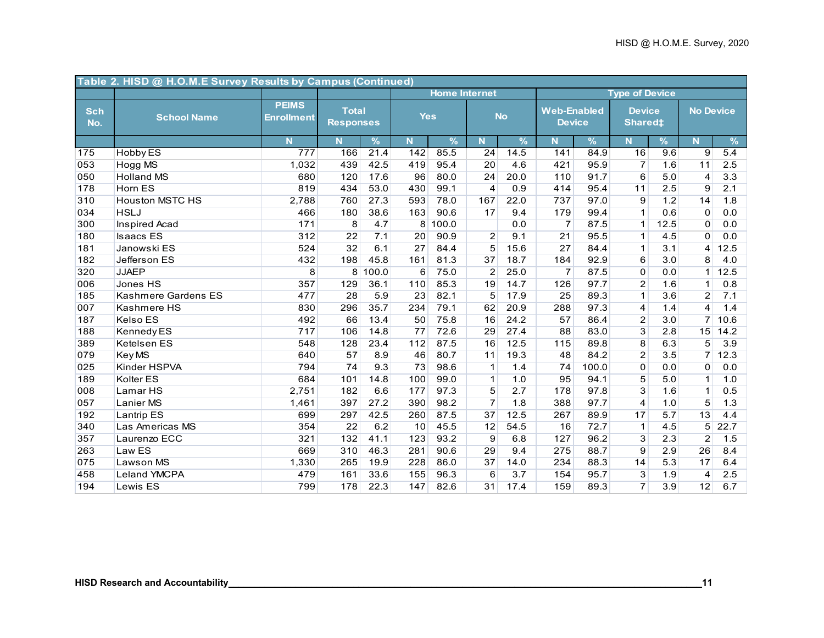|                   | Table 2. HISD @ H.O.M.E Survey Results by Campus (Continued) |                                   |                                  |                   |            |                      |                |               |                                     |               |                                      |      |                  |               |
|-------------------|--------------------------------------------------------------|-----------------------------------|----------------------------------|-------------------|------------|----------------------|----------------|---------------|-------------------------------------|---------------|--------------------------------------|------|------------------|---------------|
|                   |                                                              |                                   |                                  |                   |            | <b>Home Internet</b> |                |               |                                     |               | <b>Type of Device</b>                |      |                  |               |
| <b>Sch</b><br>No. | <b>School Name</b>                                           | <b>PEIMS</b><br><b>Enrollment</b> | <b>Total</b><br><b>Responses</b> |                   | <b>Yes</b> |                      |                | <b>No</b>     | <b>Web-Enabled</b><br><b>Device</b> |               | <b>Device</b><br>Shared <sup>±</sup> |      | <b>No Device</b> |               |
|                   |                                                              | N                                 | N                                | $\frac{9}{6}$     | N.         | $\%$                 | N.             | $\frac{9}{6}$ | N                                   | $\frac{9}{6}$ | N                                    | $\%$ | N                | $\frac{9}{6}$ |
| 175               | <b>Hobby ES</b>                                              | 777                               | 166                              | $\overline{21.4}$ | 142        | 85.5                 | 24             | 14.5          | 141                                 | 84.9          | 16                                   | 9.6  | 9                | 5.4           |
| 053               | Hogg MS                                                      | 1,032                             | 439                              | 42.5              | 419        | 95.4                 | 20             | 4.6           | 421                                 | 95.9          | $\overline{7}$                       | 1.6  | 11               | 2.5           |
| 050               | <b>Holland MS</b>                                            | 680                               | 120                              | 17.6              | 96         | 80.0                 | 24             | 20.0          | 110                                 | 91.7          | 6                                    | 5.0  | $\overline{4}$   | 3.3           |
| 178               | Horn ES                                                      | 819                               | 434                              | 53.0              | 430        | 99.1                 | 4              | 0.9           | 414                                 | 95.4          | 11                                   | 2.5  | 9                | 2.1           |
| 310               | <b>Houston MSTC HS</b>                                       | 2,788                             | 760                              | 27.3              | 593        | 78.0                 | 167            | 22.0          | 737                                 | 97.0          | 9                                    | 1.2  | 14               | 1.8           |
| 034               | <b>HSLJ</b>                                                  | 466                               | 180                              | 38.6              | 163        | 90.6                 | 17             | 9.4           | 179                                 | 99.4          | $\mathbf{1}$                         | 0.6  | $\mathbf 0$      | 0.0           |
| 300               | <b>Inspired Acad</b>                                         | 171                               | 8                                | 4.7               |            | 8 100.0              |                | 0.0           | $\overline{7}$                      | 87.5          | $\mathbf{1}$                         | 12.5 | 0                | 0.0           |
| 180               | <b>Isaacs ES</b>                                             | 312                               | 22                               | 7.1               | 20         | 90.9                 | 2              | 9.1           | 21                                  | 95.5          | $\mathbf{1}$                         | 4.5  | $\overline{0}$   | 0.0           |
| 181               | Janowski ES                                                  | 524                               | 32                               | 6.1               | 27         | 84.4                 | 5              | 15.6          | 27                                  | 84.4          | $\mathbf{1}$                         | 3.1  | $\overline{4}$   | 12.5          |
| 182               | Jefferson ES                                                 | 432                               | 198                              | 45.8              | 161        | 81.3                 | 37             | 18.7          | 184                                 | 92.9          | 6                                    | 3.0  | 8                | 4.0           |
| 320               | <b>JJAEP</b>                                                 | 8                                 | 8                                | 100.0             | 6          | 75.0                 | $\overline{2}$ | 25.0          | $\overline{7}$                      | 87.5          | 0                                    | 0.0  | 1 <sup>1</sup>   | 12.5          |
| 006               | Jones HS                                                     | 357                               | 129                              | 36.1              | 110        | 85.3                 | 19             | 14.7          | 126                                 | 97.7          | $\overline{c}$                       | 1.6  | $\mathbf 1$      | 0.8           |
| 185               | Kashmere Gardens ES                                          | 477                               | 28                               | 5.9               | 23         | 82.1                 | 5              | 17.9          | 25                                  | 89.3          | $\mathbf{1}$                         | 3.6  | 2                | 7.1           |
| 007               | Kashmere HS                                                  | 830                               | 296                              | 35.7              | 234        | 79.1                 | 62             | 20.9          | 288                                 | 97.3          | 4                                    | 1.4  | $\overline{4}$   | 1.4           |
| 187               | Kelso ES                                                     | 492                               | 66                               | 13.4              | 50         | 75.8                 | 16             | 24.2          | 57                                  | 86.4          | $\overline{2}$                       | 3.0  | 7 <sup>1</sup>   | 10.6          |
| 188               | Kennedy ES                                                   | 717                               | 106                              | 14.8              | 77         | 72.6                 | 29             | 27.4          | 88                                  | 83.0          | $\overline{3}$                       | 2.8  | 15               | 14.2          |
| 389               | Ketelsen ES                                                  | 548                               | 128                              | 23.4              | 112        | 87.5                 | 16             | 12.5          | 115                                 | 89.8          | 8                                    | 6.3  | 5                | 3.9           |
| 079               | Key MS                                                       | 640                               | 57                               | 8.9               | 46         | 80.7                 | 11             | 19.3          | 48                                  | 84.2          | $\overline{2}$                       | 3.5  | $\overline{7}$   | 12.3          |
| 025               | Kinder HSPVA                                                 | 794                               | 74                               | 9.3               | 73         | 98.6                 | $\mathbf{1}$   | 1.4           | 74                                  | 100.0         | 0                                    | 0.0  | $\overline{0}$   | 0.0           |
| 189               | Kolter ES                                                    | 684                               | 101                              | 14.8              | 100        | 99.0                 | $\mathbf{1}$   | 1.0           | 95                                  | 94.1          | 5                                    | 5.0  | $\mathbf{1}$     | 1.0           |
| 008               | Lamar <sub>HS</sub>                                          | 2,751                             | 182                              | 6.6               | 177        | 97.3                 | 5              | 2.7           | 178                                 | 97.8          | $\overline{3}$                       | 1.6  | $\mathbf{1}$     | 0.5           |
| 057               | Lanier MS                                                    | 1,461                             | 397                              | 27.2              | 390        | 98.2                 | $\overline{7}$ | 1.8           | 388                                 | 97.7          | 4                                    | 1.0  | $\overline{5}$   | 1.3           |
| 192               | <b>Lantrip ES</b>                                            | 699                               | 297                              | 42.5              | 260        | 87.5                 | 37             | 12.5          | 267                                 | 89.9          | 17                                   | 5.7  | 13               | 4.4           |
| 340               | Las Americas MS                                              | 354                               | 22                               | 6.2               | 10         | 45.5                 | 12             | 54.5          | 16                                  | 72.7          | $\mathbf{1}$                         | 4.5  | 5                | 22.7          |
| 357               | Laurenzo ECC                                                 | 321                               | 132                              | 41.1              | 123        | 93.2                 | 9              | 6.8           | 127                                 | 96.2          | $\overline{3}$                       | 2.3  | $\overline{c}$   | 1.5           |
| 263               | Law ES                                                       | 669                               | 310                              | 46.3              | 281        | 90.6                 | 29             | 9.4           | 275                                 | 88.7          | 9                                    | 2.9  | 26               | 8.4           |
| 075               | <b>Lawson MS</b>                                             | 1,330                             | 265                              | 19.9              | 228        | 86.0                 | 37             | 14.0          | 234                                 | 88.3          | 14                                   | 5.3  | 17               | 6.4           |
| 458               | <b>Leland YMCPA</b>                                          | 479                               | 161                              | 33.6              | 155        | 96.3                 | 6              | 3.7           | 154                                 | 95.7          | $\overline{3}$                       | 1.9  | $\overline{4}$   | 2.5           |
| 194               | Lewis ES                                                     | 799                               | 178                              | 22.3              | 147        | 82.6                 | 31             | 17.4          | 159                                 | 89.3          | $\overline{7}$                       | 3.9  | 12               | 6.7           |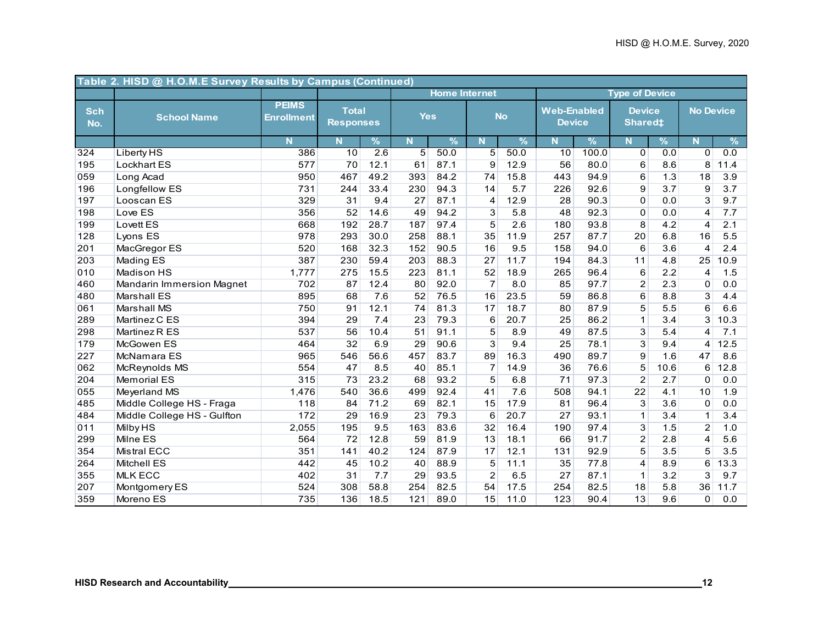|                   | Table 2. HISD @ H.O.M.E Survey Results by Campus (Continued) |                                   |                                  |               |                |                      |                |               |                                     |               |                                 |      |                  |      |
|-------------------|--------------------------------------------------------------|-----------------------------------|----------------------------------|---------------|----------------|----------------------|----------------|---------------|-------------------------------------|---------------|---------------------------------|------|------------------|------|
|                   |                                                              |                                   |                                  |               |                | <b>Home Internet</b> |                |               |                                     |               | <b>Type of Device</b>           |      |                  |      |
| <b>Sch</b><br>No. | <b>School Name</b>                                           | <b>PEIMS</b><br><b>Enrollment</b> | <b>Total</b><br><b>Responses</b> |               | <b>Yes</b>     |                      |                | <b>No</b>     | <b>Web-Enabled</b><br><b>Device</b> |               | <b>Device</b><br><b>Shared#</b> |      | <b>No Device</b> |      |
|                   |                                                              | N                                 | N                                | $\frac{9}{6}$ | N.             | $\frac{9}{6}$        | N              | $\frac{9}{6}$ | Ñ                                   | $\frac{9}{6}$ | N                               | %    | N                | %    |
| 324               | Liberty HS                                                   | 386                               | 10                               | 2.6           | $\overline{5}$ | 50.0                 | $\overline{5}$ | 50.0          | 10                                  | 100.0         | $\mathbf 0$                     | 0.0  | $\Omega$         | 0.0  |
| 195               | <b>Lockhart ES</b>                                           | 577                               | 70                               | 12.1          | 61             | 87.1                 | 9              | 12.9          | 56                                  | 80.0          | 6                               | 8.6  | 8                | 11.4 |
| 059               | Long Acad                                                    | 950                               | 467                              | 49.2          | 393            | 84.2                 | 74             | 15.8          | 443                                 | 94.9          | 6                               | 1.3  | 18               | 3.9  |
| 196               | Longfellow ES                                                | 731                               | 244                              | 33.4          | 230            | 94.3                 | 14             | 5.7           | 226                                 | 92.6          | 9                               | 3.7  | 9                | 3.7  |
| 197               | Looscan ES                                                   | 329                               | 31                               | 9.4           | 27             | 87.1                 | $\overline{4}$ | 12.9          | 28                                  | 90.3          | 0                               | 0.0  | 3                | 9.7  |
| 198               | Love ES                                                      | 356                               | 52                               | 14.6          | 49             | 94.2                 | 3              | 5.8           | 48                                  | 92.3          | 0                               | 0.0  | 4                | 7.7  |
| 199               | Lovett ES                                                    | 668                               | 192                              | 28.7          | 187            | 97.4                 | 5              | 2.6           | 180                                 | 93.8          | 8                               | 4.2  | 4                | 2.1  |
| 128               | Lyons ES                                                     | 978                               | 293                              | 30.0          | 258            | 88.1                 | 35             | 11.9          | 257                                 | 87.7          | 20                              | 6.8  | 16               | 5.5  |
| 201               | MacGregor ES                                                 | 520                               | 168                              | 32.3          | 152            | 90.5                 | 16             | 9.5           | 158                                 | 94.0          | 6                               | 3.6  | 4                | 2.4  |
| 203               | Mading ES                                                    | 387                               | 230                              | 59.4          | 203            | 88.3                 | 27             | 11.7          | 194                                 | 84.3          | 11                              | 4.8  | 25               | 10.9 |
| 010               | <b>Madison HS</b>                                            | 1,777                             | 275                              | 15.5          | 223            | 81.1                 | 52             | 18.9          | 265                                 | 96.4          | 6                               | 2.2  | 4                | 1.5  |
| 460               | <b>Mandarin Immersion Magnet</b>                             | 702                               | 87                               | 12.4          | 80             | 92.0                 | $\overline{7}$ | 8.0           | 85                                  | 97.7          | $\overline{c}$                  | 2.3  | $\mathbf 0$      | 0.0  |
| 480               | <b>Marshall ES</b>                                           | 895                               | 68                               | 7.6           | 52             | 76.5                 | 16             | 23.5          | 59                                  | 86.8          | 6                               | 8.8  | 3                | 4.4  |
| 061               | <b>Marshall MS</b>                                           | 750                               | 91                               | 12.1          | 74             | 81.3                 | 17             | 18.7          | 80                                  | 87.9          | 5                               | 5.5  | 6                | 6.6  |
| 289               | Martinez C ES                                                | 394                               | 29                               | 7.4           | 23             | 79.3                 | 6              | 20.7          | 25                                  | 86.2          | $\mathbf{1}$                    | 3.4  | 3                | 10.3 |
| 298               | Martinez R ES                                                | 537                               | 56                               | 10.4          | 51             | 91.1                 | 5              | 8.9           | 49                                  | 87.5          | 3                               | 5.4  | 4                | 7.1  |
| 179               | McGowen ES                                                   | 464                               | 32                               | 6.9           | 29             | 90.6                 | $\mathbf{3}$   | 9.4           | 25                                  | 78.1          | 3                               | 9.4  | 4                | 12.5 |
| 227               | McNamara ES                                                  | 965                               | 546                              | 56.6          | 457            | 83.7                 | 89             | 16.3          | 490                                 | 89.7          | 9                               | 1.6  | 47               | 8.6  |
| 062               | McReynolds MS                                                | 554                               | 47                               | 8.5           | 40             | 85.1                 | $\overline{7}$ | 14.9          | 36                                  | 76.6          | 5                               | 10.6 | 6                | 12.8 |
| 204               | <b>Memorial ES</b>                                           | 315                               | 73                               | 23.2          | 68             | 93.2                 | 5              | 6.8           | 71                                  | 97.3          | $\overline{2}$                  | 2.7  | $\Omega$         | 0.0  |
| 055               | Meyerland MS                                                 | 1,476                             | 540                              | 36.6          | 499            | 92.4                 | 41             | 7.6           | 508                                 | 94.1          | 22                              | 4.1  | 10               | 1.9  |
| 485               | Middle College HS - Fraga                                    | 118                               | 84                               | 71.2          | 69             | 82.1                 | 15             | 17.9          | 81                                  | 96.4          | $\overline{3}$                  | 3.6  | $\mathbf 0$      | 0.0  |
| 484               | Middle College HS - Gulfton                                  | 172                               | 29                               | 16.9          | 23             | 79.3                 | 6              | 20.7          | 27                                  | 93.1          | $\mathbf{1}$                    | 3.4  | $\mathbf{1}$     | 3.4  |
| 011               | <b>Milby HS</b>                                              | 2,055                             | 195                              | 9.5           | 163            | 83.6                 | 32             | 16.4          | 190                                 | 97.4          | 3                               | 1.5  | $\overline{2}$   | 1.0  |
| 299               | Milne ES                                                     | 564                               | 72                               | 12.8          | 59             | 81.9                 | 13             | 18.1          | 66                                  | 91.7          | $\overline{2}$                  | 2.8  | 4                | 5.6  |
| 354               | <b>Mistral ECC</b>                                           | 351                               | 141                              | 40.2          | 124            | 87.9                 | 17             | 12.1          | 131                                 | 92.9          | $\overline{5}$                  | 3.5  | 5                | 3.5  |
| 264               | Mitchell ES                                                  | 442                               | 45                               | 10.2          | 40             | 88.9                 | 5              | 11.1          | 35                                  | 77.8          | 4                               | 8.9  | 6                | 13.3 |
| 355               | <b>MLK ECC</b>                                               | 402                               | 31                               | 7.7           | 29             | 93.5                 | $\overline{2}$ | 6.5           | 27                                  | 87.1          | $\mathbf{1}$                    | 3.2  | 3                | 9.7  |
| 207               | Montgomery ES                                                | 524                               | 308                              | 58.8          | 254            | 82.5                 | 54             | 17.5          | 254                                 | 82.5          | 18                              | 5.8  | 36               | 11.7 |
| 359               | Moreno ES                                                    | 735                               | 136                              | 18.5          | 121            | 89.0                 | 15             | 11.0          | 123                                 | 90.4          | 13                              | 9.6  | $\Omega$         | 0.0  |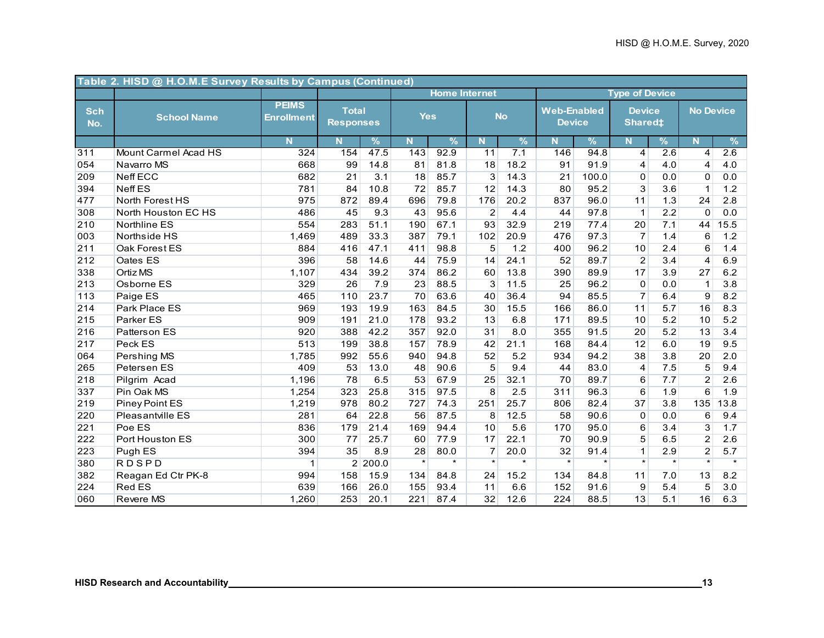|                   | Table 2. HISD @ H.O.M.E Survey Results by Campus (Continued) |                                   |                                  |               |            |                      |                |                  |                                     |               |                                 |         |                  |         |
|-------------------|--------------------------------------------------------------|-----------------------------------|----------------------------------|---------------|------------|----------------------|----------------|------------------|-------------------------------------|---------------|---------------------------------|---------|------------------|---------|
|                   |                                                              |                                   |                                  |               |            | <b>Home Internet</b> |                |                  |                                     |               | <b>Type of Device</b>           |         |                  |         |
| <b>Sch</b><br>No. | <b>School Name</b>                                           | <b>PEIMS</b><br><b>Enrollment</b> | <b>Total</b><br><b>Responses</b> |               | <b>Yes</b> |                      |                | <b>No</b>        | <b>Web-Enabled</b><br><b>Device</b> |               | <b>Device</b><br><b>Shared#</b> |         | <b>No Device</b> |         |
|                   |                                                              | N.                                | N                                | $\frac{9}{6}$ | N.         | $\frac{9}{6}$        | N.             | %                | N.                                  | $\frac{9}{6}$ | $\mathbf N$                     | %       | N                | %       |
| 311               | <b>Mount Carmel Acad HS</b>                                  | 324                               | 154                              | 47.5          | 143        | 92.9                 | 11             | $\overline{7.1}$ | 146                                 | 94.8          | $\overline{4}$                  | 2.6     | $\overline{4}$   | 2.6     |
| 054               | Navarro MS                                                   | 668                               | 99                               | 14.8          | 81         | 81.8                 | 18             | 18.2             | 91                                  | 91.9          | 4                               | 4.0     | 4                | 4.0     |
| 209               | <b>Neff ECC</b>                                              | 682                               | 21                               | 3.1           | 18         | 85.7                 | 3              | 14.3             | 21                                  | 100.0         | 0                               | 0.0     | 0                | 0.0     |
| 394               | <b>Neff ES</b>                                               | 781                               | 84                               | 10.8          | 72         | 85.7                 | 12             | 14.3             | 80                                  | 95.2          | 3                               | 3.6     | $\mathbf{1}$     | 1.2     |
| 477               | North Forest HS                                              | 975                               | 872                              | 89.4          | 696        | 79.8                 | 176            | 20.2             | 837                                 | 96.0          | 11                              | 1.3     | 24               | 2.8     |
| 308               | North Houston EC HS                                          | 486                               | 45                               | 9.3           | 43         | 95.6                 | $\overline{c}$ | 4.4              | 44                                  | 97.8          | $\mathbf{1}$                    | 2.2     | 0                | 0.0     |
| 210               | Northline ES                                                 | 554                               | 283                              | 51.1          | 190        | 67.1                 | 93             | 32.9             | 219                                 | 77.4          | 20                              | 7.1     | 44               | 15.5    |
| 003               | Northside HS                                                 | 1,469                             | 489                              | 33.3          | 387        | 79.1                 | 102            | 20.9             | 476                                 | 97.3          | $\overline{7}$                  | 1.4     | 6                | $1.2$   |
| 211               | Oak Forest ES                                                | 884                               | 416                              | 47.1          | 411        | 98.8                 | 5              | 1.2              | 400                                 | 96.2          | 10                              | 2.4     | 6                | 1.4     |
| 212               | Oates ES                                                     | 396                               | 58                               | 14.6          | 44         | 75.9                 | 14             | 24.1             | 52                                  | 89.7          | $\overline{2}$                  | 3.4     | $\overline{4}$   | 6.9     |
| 338               | Ortiz MS                                                     | 1,107                             | 434                              | 39.2          | 374        | 86.2                 | 60             | 13.8             | 390                                 | 89.9          | 17                              | 3.9     | 27               | 6.2     |
| 213               | Osborne ES                                                   | 329                               | 26                               | 7.9           | 23         | 88.5                 | 3              | 11.5             | 25                                  | 96.2          | $\Omega$                        | 0.0     | $\mathbf 1$      | 3.8     |
| 113               | Paige ES                                                     | 465                               | 110                              | 23.7          | 70         | 63.6                 | 40             | 36.4             | 94                                  | 85.5          | $\overline{7}$                  | 6.4     | 9                | 8.2     |
| 214               | Park Place ES                                                | 969                               | 193                              | 19.9          | 163        | 84.5                 | 30             | 15.5             | 166                                 | 86.0          | 11                              | 5.7     | 16               | 8.3     |
| 215               | Parker ES                                                    | 909                               | 191                              | 21.0          | 178        | 93.2                 | 13             | 6.8              | 171                                 | 89.5          | 10                              | 5.2     | 10               | 5.2     |
| 216               | Patters on ES                                                | 920                               | 388                              | 42.2          | 357        | 92.0                 | 31             | 8.0              | 355                                 | 91.5          | 20                              | 5.2     | 13               | 3.4     |
| 217               | Peck ES                                                      | 513                               | 199                              | 38.8          | 157        | 78.9                 | 42             | 21.1             | 168                                 | 84.4          | 12                              | 6.0     | 19               | 9.5     |
| 064               | Pershing MS                                                  | 1,785                             | 992                              | 55.6          | 940        | 94.8                 | 52             | 5.2              | 934                                 | 94.2          | 38                              | 3.8     | 20               | 2.0     |
| 265               | Petersen ES                                                  | 409                               | 53                               | 13.0          | 48         | 90.6                 | 5              | 9.4              | 44                                  | 83.0          | 4                               | 7.5     | 5                | 9.4     |
| 218               | Pilgrim Acad                                                 | 1,196                             | 78                               | 6.5           | 53         | 67.9                 | 25             | 32.1             | 70                                  | 89.7          | 6                               | 7.7     | $\overline{c}$   | 2.6     |
| 337               | Pin Oak MS                                                   | 1,254                             | 323                              | 25.8          | 315        | 97.5                 | $\overline{8}$ | 2.5              | 311                                 | 96.3          | $6\overline{6}$                 | 1.9     | $6\overline{6}$  | 1.9     |
| 219               | Piney Point ES                                               | 1,219                             | 978                              | 80.2          | 727        | 74.3                 | 251            | 25.7             | 806                                 | 82.4          | 37                              | 3.8     | 135              | 13.8    |
| 220               | Pleasantville ES                                             | 281                               | 64                               | 22.8          | 56         | 87.5                 | 8              | 12.5             | 58                                  | 90.6          | 0                               | 0.0     | 6                | 9.4     |
| 221               | Poe ES                                                       | 836                               | 179                              | 21.4          | 169        | 94.4                 | 10             | 5.6              | 170                                 | 95.0          | 6                               | 3.4     | 3                | 1.7     |
| 222               | Port Houston ES                                              | 300                               | 77                               | 25.7          | 60         | 77.9                 | 17             | 22.1             | 70                                  | 90.9          | 5                               | 6.5     | $\overline{c}$   | 2.6     |
| 223               | Pugh ES                                                      | 394                               | 35                               | 8.9           | 28         | 80.0                 | $\overline{7}$ | 20.0             | 32                                  | 91.4          | $\mathbf{1}$                    | 2.9     | $\overline{2}$   | 5.7     |
| 380               | <b>RDSPD</b>                                                 | 1                                 | $\overline{2}$                   | 200.0         | $\star$    | $\star$              | $\star$        | $\star$          | $\star$                             | $\star$       | $\star$                         | $\star$ | $\star$          | $\star$ |
| 382               | Reagan Ed Ctr PK-8                                           | 994                               | 158                              | 15.9          | 134        | 84.8                 | 24             | 15.2             | 134                                 | 84.8          | 11                              | 7.0     | 13               | 8.2     |
| 224               | <b>Red ES</b>                                                | 639                               | 166                              | 26.0          | 155        | 93.4                 | 11             | 6.6              | 152                                 | 91.6          | 9                               | 5.4     | 5                | 3.0     |
| 060               | <b>Revere MS</b>                                             | 1,260                             | 253                              | 20.1          | 221        | 87.4                 | 32             | 12.6             | 224                                 | 88.5          | 13                              | 5.1     | 16               | 6.3     |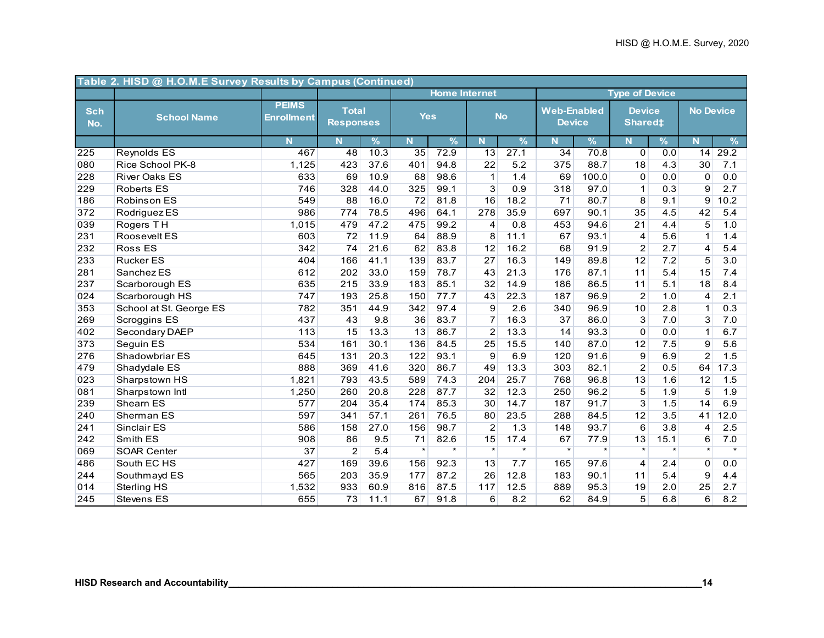|                   | Table 2. HISD @ H.O.M.E Survey Results by Campus (Continued) |                                   |                                  |               |            |                      |                   |           |                                     |               |                                 |         |                  |         |
|-------------------|--------------------------------------------------------------|-----------------------------------|----------------------------------|---------------|------------|----------------------|-------------------|-----------|-------------------------------------|---------------|---------------------------------|---------|------------------|---------|
|                   |                                                              |                                   |                                  |               |            | <b>Home Internet</b> |                   |           |                                     |               | <b>Type of Device</b>           |         |                  |         |
| <b>Sch</b><br>No. | <b>School Name</b>                                           | <b>PEIMS</b><br><b>Enrollment</b> | <b>Total</b><br><b>Responses</b> |               | <b>Yes</b> |                      |                   | <b>No</b> | <b>Web-Enabled</b><br><b>Device</b> |               | <b>Device</b><br><b>Shared#</b> |         | <b>No Device</b> |         |
|                   |                                                              | Ñ                                 | N <sub>1</sub>                   | $\frac{9}{6}$ | N.         | $\frac{9}{6}$        | N.                | %         | N.                                  | $\frac{9}{6}$ | $\mathbf N$                     | %       | N                | $\%$    |
| 225               | <b>Reynolds ES</b>                                           | 467                               | 48                               | 10.3          | 35         | 72.9                 | 13                | 27.1      | 34                                  | 70.8          | $\overline{0}$                  | 0.0     | 14               | 29.2    |
| 080               | Rice School PK-8                                             | 1,125                             | 423                              | 37.6          | 401        | 94.8                 | 22                | 5.2       | 375                                 | 88.7          | 18                              | 4.3     | 30               | 7.1     |
| 228               | <b>River Oaks ES</b>                                         | 633                               | 69                               | 10.9          | 68         | 98.6                 | $\mathbf{1}$      | 1.4       | 69                                  | 100.0         | 0                               | 0.0     | 0                | 0.0     |
| 229               | <b>Roberts ES</b>                                            | 746                               | 328                              | 44.0          | 325        | 99.1                 | 3                 | 0.9       | 318                                 | 97.0          | $\mathbf{1}$                    | 0.3     | 9                | 2.7     |
| 186               | <b>Robinson ES</b>                                           | 549                               | 88                               | 16.0          | 72         | 81.8                 | 16                | 18.2      | 71                                  | 80.7          | 8                               | 9.1     | 9                | 10.2    |
| 372               | Rodriguez ES                                                 | 986                               | 774                              | 78.5          | 496        | 64.1                 | 278               | 35.9      | 697                                 | 90.1          | 35                              | 4.5     | 42               | 5.4     |
| 039               | Rogers TH                                                    | 1,015                             | 479                              | 47.2          | 475        | 99.2                 | 4                 | 0.8       | 453                                 | 94.6          | $\overline{21}$                 | 4.4     | $\overline{5}$   | 1.0     |
| 231               | Roosevelt ES                                                 | 603                               | 72                               | 11.9          | 64         | 88.9                 | 8                 | 11.1      | 67                                  | 93.1          | $\overline{4}$                  | 5.6     | $\mathbf 1$      | 1.4     |
| 232               | <b>Ross ES</b>                                               | 342                               | 74                               | 21.6          | 62         | 83.8                 | 12                | 16.2      | 68                                  | 91.9          | $\overline{c}$                  | 2.7     | $\overline{4}$   | 5.4     |
| 233               | <b>Rucker ES</b>                                             | 404                               | 166                              | 41.1          | 139        | 83.7                 | 27                | 16.3      | 149                                 | 89.8          | 12                              | 7.2     | $\overline{5}$   | 3.0     |
| 281               | Sanchez ES                                                   | 612                               | 202                              | 33.0          | 159        | 78.7                 | 43                | 21.3      | 176                                 | 87.1          | 11                              | 5.4     | 15               | 7.4     |
| 237               | Scarborough ES                                               | 635                               | 215                              | 33.9          | 183        | 85.1                 | 32                | 14.9      | 186                                 | 86.5          | 11                              | 5.1     | 18               | 8.4     |
| 024               | Scarborough HS                                               | 747                               | 193                              | 25.8          | 150        | 77.7                 | 43                | 22.3      | 187                                 | 96.9          | $\overline{2}$                  | 1.0     | $\overline{4}$   | 2.1     |
| 353               | School at St. George ES                                      | 782                               | 351                              | 44.9          | 342        | 97.4                 | 9                 | 2.6       | 340                                 | 96.9          | 10                              | 2.8     | $\mathbf 1$      | 0.3     |
| 269               | <b>Scroggins ES</b>                                          | 437                               | 43                               | 9.8           | 36         | 83.7                 | $\overline{7}$    | 16.3      | 37                                  | 86.0          | 3                               | 7.0     | 3                | 7.0     |
| 402               | Secondary DAEP                                               | 113                               | 15                               | 13.3          | 13         | 86.7                 | $\overline{2}$    | 13.3      | 14                                  | 93.3          | 0                               | 0.0     | $\mathbf{1}$     | 6.7     |
| 373               | Seguin ES                                                    | 534                               | 161                              | 30.1          | 136        | 84.5                 | 25                | 15.5      | 140                                 | 87.0          | 12                              | 7.5     | 9                | 5.6     |
| 276               | Shadowbriar ES                                               | 645                               | 131                              | 20.3          | 122        | 93.1                 | 9                 | 6.9       | 120                                 | 91.6          | $\overline{9}$                  | 6.9     | $\overline{2}$   | 1.5     |
| 479               | Shadydale ES                                                 | 888                               | 369                              | 41.6          | 320        | 86.7                 | 49                | 13.3      | 303                                 | 82.1          | $\overline{2}$                  | 0.5     | 64               | 17.3    |
| 023               | Sharpstown HS                                                | 1,821                             | 793                              | 43.5          | 589        | 74.3                 | 204               | 25.7      | 768                                 | 96.8          | 13                              | 1.6     | 12               | 1.5     |
| 081               | Sharpstown Intl                                              | 1,250                             | 260                              | 20.8          | 228        | 87.7                 | 32                | 12.3      | 250                                 | 96.2          | $\overline{5}$                  | 1.9     | $\overline{5}$   | 1.9     |
| 239               | Shearn ES                                                    | 577                               | 204                              | 35.4          | 174        | 85.3                 | 30                | 14.7      | 187                                 | 91.7          | 3                               | 1.5     | 14               | 6.9     |
| 240               | Sherman ES                                                   | 597                               | 341                              | 57.1          | 261        | 76.5                 | 80                | 23.5      | 288                                 | 84.5          | 12                              | 3.5     | 41               | 12.0    |
| 241               | Sinclair ES                                                  | 586                               | 158                              | 27.0          | 156        | 98.7                 | $\overline{2}$    | 1.3       | 148                                 | 93.7          | 6                               | 3.8     | $\overline{4}$   | 2.5     |
| 242               | Smith ES                                                     | 908                               | 86                               | 9.5           | 71         | 82.6                 | 15                | 17.4      | 67                                  | 77.9          | 13                              | 15.1    | 6                | 7.0     |
| 069               | <b>SOAR Center</b>                                           | 37                                | $\overline{2}$                   | 5.4           | $\star$    | $\star$              | $\overline{\ast}$ | $\star$   | $\star$                             | $\star$       | $\star$                         | $\star$ | $\star$          | $\star$ |
| 486               | South EC HS                                                  | 427                               | 169                              | 39.6          | 156        | 92.3                 | 13                | 7.7       | 165                                 | 97.6          | 4                               | 2.4     | 0                | 0.0     |
| 244               | Southmayd ES                                                 | 565                               | 203                              | 35.9          | 177        | 87.2                 | 26                | 12.8      | 183                                 | 90.1          | 11                              | 5.4     | 9                | 4.4     |
| 014               | Sterling HS                                                  | 1,532                             | 933                              | 60.9          | 816        | 87.5                 | $117$             | 12.5      | 889                                 | 95.3          | 19                              | 2.0     | 25               | 2.7     |
| 245               | <b>Stevens ES</b>                                            | 655                               | 73                               | 11.1          | 67         | 91.8                 | 6                 | 8.2       | 62                                  | 84.9          | 5                               | 6.8     | 6                | 8.2     |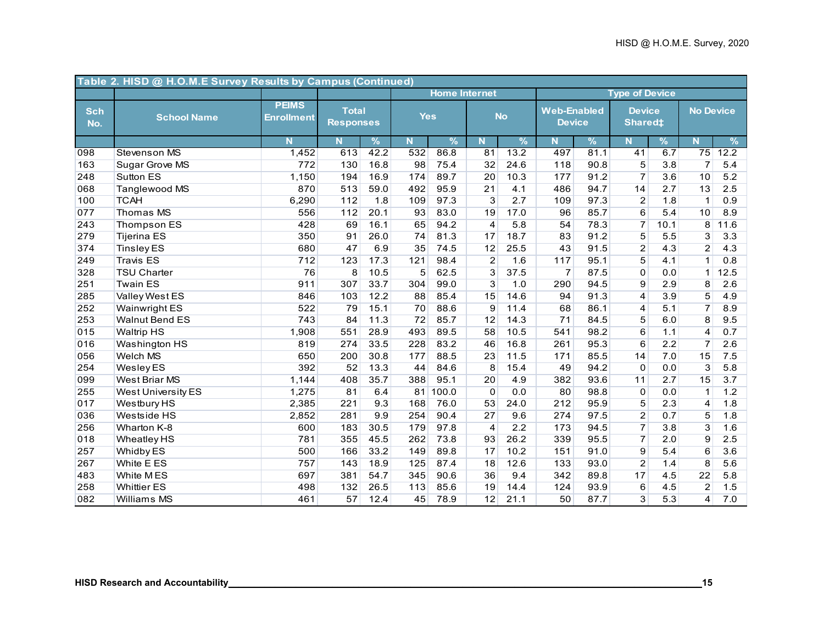|                   | Table 2. HISD @ H.O.M.E Survey Results by Campus (Continued) |                                   |                                  |               |            |                      |                  |               |                                     |               |                                      |               |                  |               |
|-------------------|--------------------------------------------------------------|-----------------------------------|----------------------------------|---------------|------------|----------------------|------------------|---------------|-------------------------------------|---------------|--------------------------------------|---------------|------------------|---------------|
|                   |                                                              |                                   |                                  |               |            | <b>Home Internet</b> |                  |               |                                     |               | <b>Type of Device</b>                |               |                  |               |
| <b>Sch</b><br>No. | <b>School Name</b>                                           | <b>PEIMS</b><br><b>Enrollment</b> | <b>Total</b><br><b>Responses</b> |               | <b>Yes</b> |                      |                  | <b>No</b>     | <b>Web-Enabled</b><br><b>Device</b> |               | <b>Device</b><br>Shared <sup>‡</sup> |               | <b>No Device</b> |               |
|                   |                                                              | N                                 | N                                | $\frac{9}{6}$ | N.         | $\frac{9}{6}$        | N                | $\frac{9}{6}$ | Ñ                                   | $\frac{9}{6}$ | N                                    | $\frac{9}{6}$ | N                | $\frac{9}{6}$ |
| 098               | <b>Stevenson MS</b>                                          | 1,452                             | 613                              | 42.2          | 532        | 86.8                 | 81               | 13.2          | 497                                 | 81.1          | 41                                   | 6.7           | 75               | 12.2          |
| 163               | Sugar Grove MS                                               | 772                               | 130                              | 16.8          | 98         | 75.4                 | 32               | 24.6          | 118                                 | 90.8          | $\overline{5}$                       | 3.8           | $\overline{7}$   | 5.4           |
| 248               | <b>Sutton ES</b>                                             | 1,150                             | 194                              | 16.9          | 174        | 89.7                 | 20               | 10.3          | 177                                 | 91.2          | $\overline{7}$                       | 3.6           | 10               | 5.2           |
| 068               | Tanglewood MS                                                | 870                               | 513                              | 59.0          | 492        | 95.9                 | 21               | 4.1           | 486                                 | 94.7          | 14                                   | 2.7           | 13               | 2.5           |
| 100               | <b>TCAH</b>                                                  | 6,290                             | 112                              | 1.8           | 109        | 97.3                 | 3                | 2.7           | 109                                 | 97.3          | $\overline{2}$                       | 1.8           | $\mathbf{1}$     | 0.9           |
| 077               | Thomas MS                                                    | 556                               | 112                              | 20.1          | 93         | 83.0                 | 19               | 17.0          | 96                                  | 85.7          | 6                                    | 5.4           | 10               | 8.9           |
| 243               | Thompson ES                                                  | 428                               | 69                               | 16.1          | 65         | 94.2                 | $\overline{4}$   | 5.8           | 54                                  | 78.3          | $\overline{7}$                       | 10.1          | 8                | 11.6          |
| 279               | <b>Tijerina ES</b>                                           | 350                               | 91                               | 26.0          | 74         | 81.3                 | 17               | 18.7          | 83                                  | 91.2          | 5                                    | 5.5           | 3                | 3.3           |
| 374               | <b>Tinsley ES</b>                                            | 680                               | 47                               | 6.9           | 35         | 74.5                 | 12               | 25.5          | 43                                  | 91.5          | $\overline{2}$                       | 4.3           | $\overline{c}$   | 4.3           |
| 249               | <b>Travis ES</b>                                             | 712                               | 123                              | 17.3          | 121        | 98.4                 | $\boldsymbol{2}$ | 1.6           | 117                                 | 95.1          | $\overline{5}$                       | 4.1           | $\mathbf{1}$     | 0.8           |
| 328               | <b>TSU Charter</b>                                           | 76                                | 8                                | 10.5          | 5          | 62.5                 | 3                | 37.5          | $\overline{7}$                      | 87.5          | 0                                    | 0.0           | 1                | 12.5          |
| 251               | <b>Twain ES</b>                                              | 911                               | 307                              | 33.7          | 304        | 99.0                 | 3                | 1.0           | 290                                 | 94.5          | 9                                    | 2.9           | 8                | 2.6           |
| 285               | Valley West ES                                               | 846                               | 103                              | 12.2          | 88         | 85.4                 | 15               | 14.6          | 94                                  | 91.3          | 4                                    | 3.9           | 5                | 4.9           |
| 252               | <b>Wainwright ES</b>                                         | 522                               | 79                               | 15.1          | 70         | 88.6                 | 9                | 11.4          | 68                                  | 86.1          | 4                                    | 5.1           | $\overline{7}$   | 8.9           |
| 253               | <b>Walnut Bend ES</b>                                        | 743                               | 84                               | 11.3          | 72         | 85.7                 | 12               | 14.3          | 71                                  | 84.5          | 5                                    | 6.0           | 8                | 9.5           |
| 015               | <b>Waltrip HS</b>                                            | 1,908                             | 551                              | 28.9          | 493        | 89.5                 | 58               | 10.5          | 541                                 | 98.2          | 6                                    | 1.1           | 4                | 0.7           |
| 016               | Washington HS                                                | 819                               | 274                              | 33.5          | 228        | 83.2                 | 46               | 16.8          | 261                                 | 95.3          | 6                                    | 2.2           | $\overline{7}$   | 2.6           |
| 056               | Welch MS                                                     | 650                               | 200                              | 30.8          | 177        | 88.5                 | 23               | 11.5          | 171                                 | 85.5          | 14                                   | 7.0           | 15               | 7.5           |
| 254               | <b>Wesley ES</b>                                             | 392                               | 52                               | 13.3          | 44         | 84.6                 | 8                | 15.4          | 49                                  | 94.2          | $\mathbf 0$                          | 0.0           | $\overline{3}$   | 5.8           |
| 099               | West Briar MS                                                | 1,144                             | 408                              | 35.7          | 388        | 95.1                 | 20               | 4.9           | 382                                 | 93.6          | 11                                   | 2.7           | 15               | 3.7           |
| 255               | West University ES                                           | 1,275                             | 81                               | 6.4           | 81         | 100.0                | $\mathbf 0$      | 0.0           | 80                                  | 98.8          | $\mathbf 0$                          | 0.0           | $\mathbf{1}$     | 1.2           |
| 017               | Westbury HS                                                  | 2,385                             | 221                              | 9.3           | 168        | 76.0                 | 53               | 24.0          | 212                                 | 95.9          | 5                                    | 2.3           | $\overline{4}$   | 1.8           |
| 036               | <b>Westside HS</b>                                           | 2,852                             | 281                              | 9.9           | 254        | 90.4                 | 27               | 9.6           | 274                                 | 97.5          | $\overline{2}$                       | 0.7           | 5                | 1.8           |
| 256               | Wharton K-8                                                  | 600                               | 183                              | 30.5          | 179        | 97.8                 | $\overline{4}$   | 2.2           | 173                                 | 94.5          | $\overline{7}$                       | 3.8           | 3                | 1.6           |
| 018               | <b>Wheatley HS</b>                                           | 781                               | 355                              | 45.5          | 262        | 73.8                 | 93               | 26.2          | 339                                 | 95.5          | $\overline{7}$                       | 2.0           | 9                | 2.5           |
| 257               | Whidby ES                                                    | 500                               | 166                              | 33.2          | 149        | 89.8                 | 17               | 10.2          | 151                                 | 91.0          | 9                                    | 5.4           | 6                | 3.6           |
| 267               | White E ES                                                   | 757                               | 143                              | 18.9          | 125        | 87.4                 | 18               | 12.6          | 133                                 | 93.0          | $\overline{2}$                       | 1.4           | 8                | 5.6           |
| 483               | White MES                                                    | 697                               | 381                              | 54.7          | 345        | 90.6                 | 36               | 9.4           | 342                                 | 89.8          | 17                                   | 4.5           | 22               | 5.8           |
| 258               | <b>Whittier ES</b>                                           | 498                               | 132                              | 26.5          | 113        | 85.6                 | 19               | 14.4          | 124                                 | 93.9          | $\overline{6}$                       | 4.5           | $\overline{2}$   | 1.5           |
| 082               | Williams MS                                                  | 461                               | 57                               | 12.4          | 45         | 78.9                 | 12               | 21.1          | 50                                  | 87.7          | 3                                    | 5.3           | 4                | 7.0           |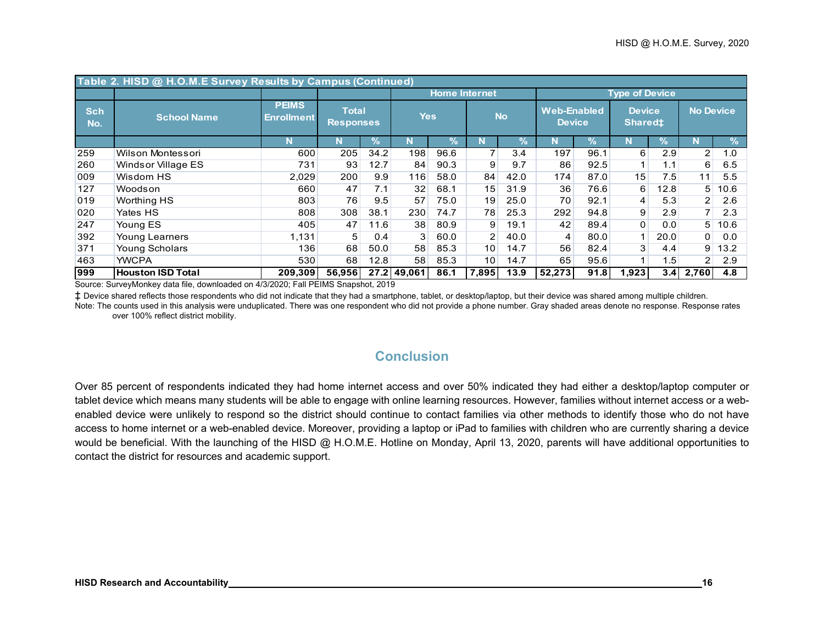|                   | Table 2. HISD @ H.O.M.E Survey Results by Campus (Continued) |                                   |                                  |               |                |                      |                 |               |                                     |                            |                                      |               |                  |            |
|-------------------|--------------------------------------------------------------|-----------------------------------|----------------------------------|---------------|----------------|----------------------|-----------------|---------------|-------------------------------------|----------------------------|--------------------------------------|---------------|------------------|------------|
|                   |                                                              |                                   |                                  |               |                | <b>Home Internet</b> |                 |               |                                     |                            | <b>Type of Device</b>                |               |                  |            |
| <b>Sch</b><br>No. | <b>School Name</b>                                           | <b>PEIMS</b><br><b>Enrollment</b> | <b>Total</b><br><b>Responses</b> |               | <b>Yes</b>     |                      |                 | <b>No</b>     | <b>Web-Enabled</b><br><b>Device</b> |                            | <b>Device</b><br>Shared <sup>±</sup> |               | <b>No Device</b> |            |
|                   |                                                              | N                                 | N                                | $\frac{1}{2}$ | N              | $\frac{1}{2}$        |                 | $\frac{9}{6}$ | N                                   | $\mathcal{V}_{\mathbf{0}}$ | N                                    | $\frac{9}{6}$ |                  | $\sqrt{2}$ |
| 259               | Wilson Montessori                                            | 600                               | 205                              | 34.2          | 198            | 96.6                 | $\overline{7}$  | 3.4           | 197                                 | 96.1                       | 6                                    | 2.9           | $\overline{2}$   | 1.0        |
| 260               | Windsor Village ES                                           | 731                               | 93                               | 12.7          | 84             | 90.3                 | 9               | 9.7           | 86                                  | 92.5                       |                                      | 1.1           | $6 \mid$         | 6.5        |
| 009               | Wisdom HS                                                    | 2,029                             | 200                              | 9.9           | 116            | 58.0                 | 84              | 42.0          | 174                                 | 87.0                       | 15                                   | 7.5           | 11               | 5.5        |
| 127               | Woodson                                                      | 660                               | 47                               | 7.1           | 32             | 68.1                 | 15              | 31.9          | 36                                  | 76.6                       | 6                                    | 12.8          | 5                | 10.6       |
| 019               | Worthing HS                                                  | 803                               | 76                               | 9.5           | 57             | 75.0                 | 19              | 25.0          | 70                                  | 92.1                       | $\overline{\mathbf{4}}$              | 5.3           | $\overline{2}$   | 2.6        |
| 020               | Yates HS                                                     | 808                               | 308                              | 38.1          | 230            | 74.7                 | 78              | 25.3          | 292                                 | 94.8                       | 9                                    | 2.9           | 7                | 2.3        |
| 247               | Young ES                                                     | 405                               | 47                               | 11.6          | 38             | 80.9                 | 9               | 19.1          | 42                                  | 89.4                       | 0                                    | 0.0           | 5                | 10.6       |
| 392               | <b>Young Learners</b>                                        | 1,131                             | 5                                | 0.4           | 3 <sup>1</sup> | 60.0                 | 2               | 40.0          | 4                                   | 80.0                       |                                      | 20.0          | $\overline{0}$   | 0.0        |
| 371               | <b>Young Scholars</b>                                        | 136                               | 68                               | 50.0          | 58             | 85.3                 | 10 <sup>1</sup> | 14.7          | 56                                  | 82.4                       | 3                                    | 4.4           | 9                | 13.2       |
| 463               | <b>YWCPA</b>                                                 | 530                               | 68                               | 12.8          | 58             | 85.3                 | 10              | 14.7          | 65                                  | 95.6                       |                                      | 1.5           | 2 <sub>1</sub>   | 2.9        |
| 999               | <b>Houston ISD Total</b>                                     | 209,309                           | 56,956                           |               | 27.2 49.061    | 86.1                 | 7,895           | 13.9          | 52,273                              | 91.8                       | 1,923                                | 3.41          | 2,760            | 4.8        |

Source: SurveyMonkey data file, downloaded on 4/3/2020; Fall PEIMS Snapshot, 2019

‡ Device shared reflects those respondents who did not indicate that they had a smartphone, tablet, or desktop/laptop, but their device was shared among multiple children.

Note: The counts used in this analysis were unduplicated. There was one respondent who did not provide a phone number. Gray shaded areas denote no response. Response rates over 100% reflect district mobility.

## **Conclusion**

Over 85 percent of respondents indicated they had home internet access and over 50% indicated they had either a desktop/laptop computer or tablet device which means many students will be able to engage with online learning resources. However, families without internet access or a webenabled device were unlikely to respond so the district should continue to contact families via other methods to identify those who do not have access to home internet or a web-enabled device. Moreover, providing a laptop or iPad to families with children who are currently sharing a device would be beneficial. With the launching of the HISD @ H.O.M.E. Hotline on Monday, April 13, 2020, parents will have additional opportunities to contact the district for resources and academic support.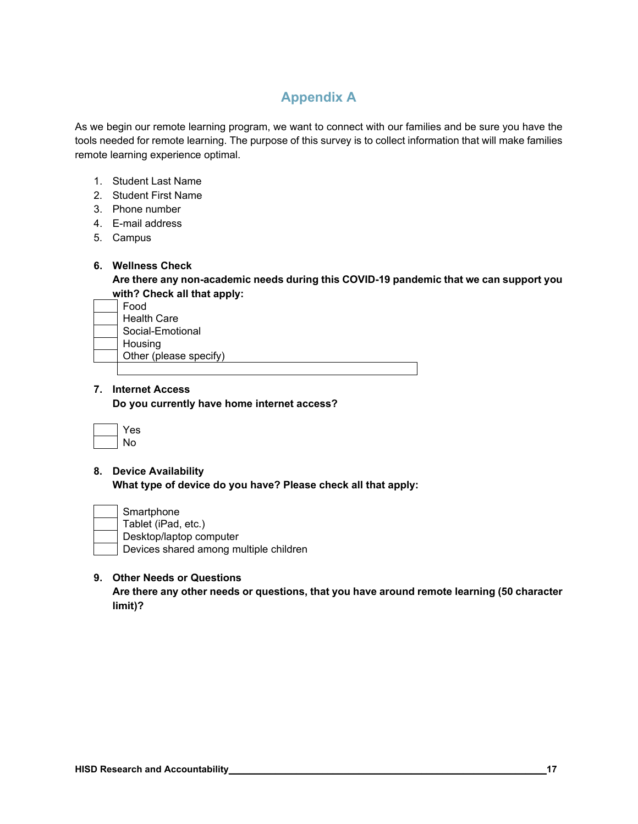## **Appendix A**

As we begin our remote learning program, we want to connect with our families and be sure you have the tools needed for remote learning. The purpose of this survey is to collect information that will make families remote learning experience optimal.

- 1. Student Last Name
- 2. Student First Name
- 3. Phone number
- 4. E-mail address
- 5. Campus

#### **6. Wellness Check**

**Are there any non-academic needs during this COVID-19 pandemic that we can support you with? Check all that apply:** 

| Food                   |  |
|------------------------|--|
| <b>Health Care</b>     |  |
| Social-Emotional       |  |
| Housing                |  |
| Other (please specify) |  |
|                        |  |

#### **7. Internet Access**

**Do you currently have home internet access?** 

| es |
|----|
| N۵ |

**8. Device Availability What type of device do you have? Please check all that apply:** 

| Smartphone                             |
|----------------------------------------|
| Tablet (iPad, etc.)                    |
| Desktop/laptop computer                |
| Devices shared among multiple children |

#### **9. Other Needs or Questions**

**Are there any other needs or questions, that you have around remote learning (50 character limit)?**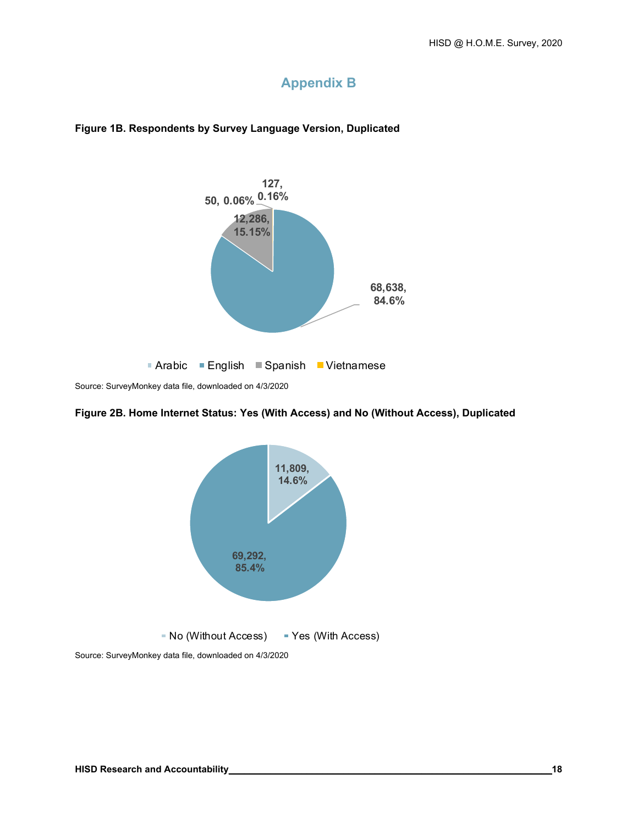## **Appendix B**



#### **Figure 1B. Respondents by Survey Language Version, Duplicated**

Source: SurveyMonkey data file, downloaded on 4/3/2020

#### **Figure 2B. Home Internet Status: Yes (With Access) and No (Without Access), Duplicated**